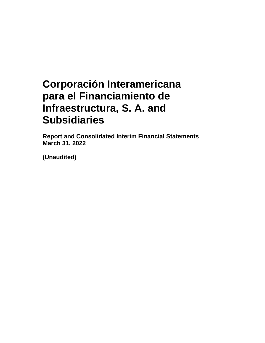**Report and Consolidated Interim Financial Statements March 31, 2022** 

**(Unaudited)**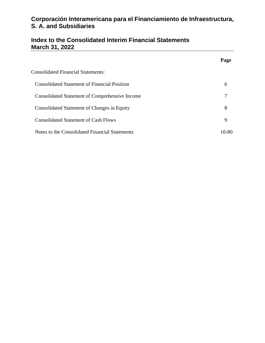# **Index to the Consolidated Interim Financial Statements March 31, 2022**

|                                                       | Page  |
|-------------------------------------------------------|-------|
| <b>Consolidated Financial Statements:</b>             |       |
| <b>Consolidated Statement of Financial Position</b>   | 6     |
| <b>Consolidated Statement of Comprehensive Income</b> | 7     |
| Consolidated Statement of Changes in Equity           | 8     |
| <b>Consolidated Statement of Cash Flows</b>           | 9     |
| Notes to the Consolidated Financial Statements        | 10-80 |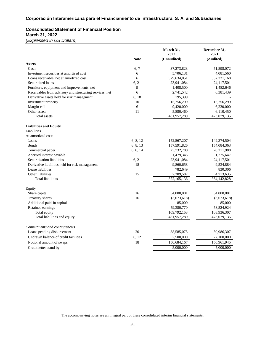#### **Consolidated Statement of Financial Position March 31, 2022**

*(Expressed in US Dollars)*

|                                                         |             | March 31,<br>2022 | December 31,<br>2021 |
|---------------------------------------------------------|-------------|-------------------|----------------------|
|                                                         | <b>Note</b> | (Unaudited)       | (Audited)            |
| <b>Assets</b>                                           |             |                   |                      |
| Cash                                                    | 6,7         | 37,273,823        | 51,598,072           |
| Investment securities at amortized cost                 | 6           | 5,706,131         | 4,081,560            |
| Loans receivable, net at amortized cost                 | 6           | 379,634,051       | 357, 321, 168        |
| Securitized loans                                       | 6, 21       | 23,941,084        | 24,117,501           |
| Furniture, equipment and improvements, net              | 9           | 1,408,500         | 1,482,646            |
| Receivables from advisory and structuring services, net | 6           | 2,741,542         | 6,381,439            |
| Derivative assets held for risk management              | 6, 18       | 195,399           |                      |
| Investment property                                     | 10          | 15,756,299        | 15,756,299           |
| Margin call                                             | 6           | 9,420,000         | 6,230,000            |
| Other assets                                            | 11          | 5,880,460         | 6,110,450            |
| Total assets                                            |             | 481,957,289       | 473,079,135          |
| <b>Liabilities and Equity</b>                           |             |                   |                      |
| Liabilities                                             |             |                   |                      |
| At amortized cost:                                      |             |                   |                      |
| Loans                                                   | 6, 8, 12    | 152,567,207       | 149,374,504          |
| <b>Bonds</b>                                            | 6, 8, 13    | 157,591,826       | 154,084,363          |
| Commercial paper                                        | 6, 8, 14    | 23,732,780        | 20,211,988           |
| Accrued interest payable                                |             | 1,479,345         | 1,275,647            |
| Securitization liabilities                              | 6, 21       | 23,941,084        | 24,117,501           |
| Derivative liabilities held for risk management         | 18          | 9,860,658         | 9,534,884            |
| Lease liabilities                                       |             | 782,649           | 830,306              |
| Other liabilities                                       | 15          | 2,209,587         | 4,713,635            |
| <b>Total liabilities</b>                                |             | 372,165,136       | 364,142,828          |
| Equity                                                  |             |                   |                      |
| Share capital                                           | 16          | 54,000,001        | 54,000,001           |
| Treasury shares                                         | 16          | (3,673,618)       | (3,673,618)          |
| Additional paid-in capital                              |             | 85,000            | 85,000               |
| Retained earnings                                       |             | 59,380,770        | 58,524,924           |
| Total equity                                            |             | 109,792,153       | 108,936,307          |
| Total liabilities and equity                            |             | 481,957,289       | 473,079,135          |
| Commitments and contingencies                           |             |                   |                      |
| Loans pending disbursement                              | 20          | 38,585,075        | 50,986,307           |
| Undrawn balance of credit facilities                    | 6, 12       | 7,500,000         | 27,100,000           |
| Notional amount of swaps                                | 18          | 150,684,167       | 150,961,945          |
| Credit letter stand by                                  |             | 5,000,000         | 5,000,000            |
|                                                         |             |                   |                      |

The accompanying notes are an integral part of these consolidated interim financial statements.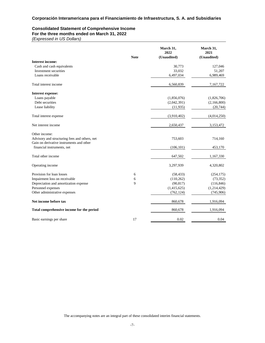#### **Consolidated Statement of Comprehensive Income For the three months ended on March 31, 2022**

*(Expressed in US Dollars)*

|                                                                                           | <b>Note</b> | March 31,<br>2022<br>(Unaudited) | March 31,<br>2021<br>(Unaudited) |
|-------------------------------------------------------------------------------------------|-------------|----------------------------------|----------------------------------|
| <b>Interest income:</b>                                                                   |             |                                  |                                  |
| Cash and cash equivalents                                                                 |             | 30,773                           | 127,046                          |
| Investment securities                                                                     |             | 33,032                           | 51,207                           |
| Loans receivable                                                                          |             | 6,497,034                        | 6,989,469                        |
| Total interest income                                                                     |             | 6,560,839                        | 7,167,722                        |
| <b>Interest expense:</b>                                                                  |             |                                  |                                  |
| Loans payable                                                                             |             | (1,856,076)                      | (1,826,706)                      |
| Debt securities                                                                           |             | (2,042,391)                      | (2,166,800)                      |
| Lease liability                                                                           |             | (11,935)                         | (20, 744)                        |
| Total interest expense                                                                    |             | (3,910,402)                      | (4,014,250)                      |
| Net interest income                                                                       |             | 2,650,437                        | 3,153,472                        |
| Other income:                                                                             |             |                                  |                                  |
| Advisory and structuring fees and others, net<br>Gain on derivative instruments and other |             | 753,603                          | 714,160                          |
| financial instruments, net                                                                |             | (106, 101)                       | 453,170                          |
| Total other income                                                                        |             | 647,502                          | 1,167,330                        |
| Operating income                                                                          |             | 3,297,939                        | 4,320,802                        |
| Provision for loan losses                                                                 | 6           | (58, 433)                        | (254, 175)                       |
| Impairment loss on receivable                                                             | 6           | (110, 262)                       | (73, 352)                        |
| Depreciation and amortization expense                                                     | 9           | (90, 817)                        | (116, 846)                       |
| Personnel expenses                                                                        |             | (1,415,625)                      | (1,214,429)                      |
| Other administrative expenses                                                             |             | (762, 124)                       | (745, 906)                       |
| Net income before tax                                                                     |             | 860,678                          | 1,916,094                        |
| Total comprehensive income for the period                                                 |             | 860,678                          | 1,916,094                        |
| Basic earnings per share                                                                  | 17          | 0.02                             | 0.04                             |

The accompanying notes are an integral part of these consolidated interim financial statements.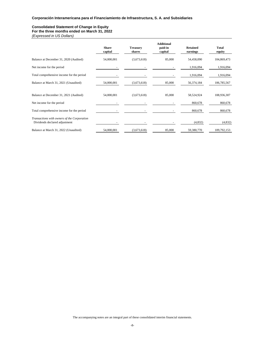#### **Consolidated Statement of Change in Equity For the three months ended on March 31, 2022**

*(Expressed in US Dollars)*

|                                                                              | <b>Share</b><br>capital | <b>Treasury</b><br>shares | <b>Additional</b><br>paid-in<br>capital | <b>Retained</b><br>earnings | Total<br>equity |
|------------------------------------------------------------------------------|-------------------------|---------------------------|-----------------------------------------|-----------------------------|-----------------|
| Balance at December 31, 2020 (Audited)                                       | 54,000,001              | (3,673,618)               | 85,000                                  | 54,458,090                  | 104,869,473     |
| Net income for the period                                                    |                         |                           |                                         | 1,916,094                   | 1,916,094       |
| Total comprehensive income for the period                                    |                         |                           |                                         | 1,916,094                   | 1,916,094       |
| Balance at March 31, 2021 (Unaudited)                                        | 54,000,001              | (3,673,618)               | 85,000                                  | 56,374,184                  | 106,785,567     |
| Balance at December 31, 2021 (Audited)                                       | 54,000,001              | (3,673,618)               | 85,000                                  | 58,524,924                  | 108,936,307     |
| Net income for the period                                                    |                         |                           |                                         | 860,678                     | 860,678         |
| Total comprehensive income for the period                                    |                         |                           |                                         | 860,678                     | 860,678         |
| Transactions with owners of the Corporation<br>Dividends declared adjustment |                         |                           |                                         | (4,832)                     | (4,832)         |
| Balance at March 31, 2022 (Unaudited)                                        | 54,000,001              | (3,673,618)               | 85,000                                  | 59,380,770                  | 109,792,153     |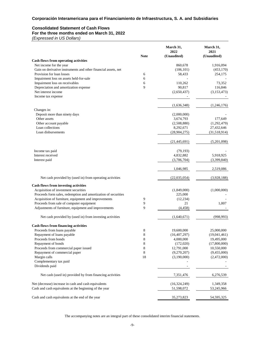#### **Consolidated Statement of Cash Flows For the three months ended on March 31, 2022**

*(Expressed in US Dollars)*

|                                                                |             | March 31,<br>2022 | March 31,<br>2021 |
|----------------------------------------------------------------|-------------|-------------------|-------------------|
| <b>Cash flows from operating activities</b>                    | <b>Note</b> | (Unaudited)       | (Unaudited)       |
| Net income for the year                                        |             | 860,678           | 1,916,094         |
| Gain on derivative instruments and other financial assets, net |             | (106, 101)        | (453, 170)        |
| Provision for loan losses                                      | 6           | 58,433            | 254,175           |
| Impairment loss on assets held-for-sale                        | 6           |                   |                   |
| Impairment loss on receivables                                 | 6           | 110,262           | 73,352            |
| Depreciation and amortization expense                          | 9           | 90,817            | 116,846           |
| Net interest income                                            |             | (2,650,437)       | (3,153,473)       |
| Income tax expense                                             |             |                   |                   |
|                                                                |             | (1,636,348)       | (1,246,176)       |
| Changes in:                                                    |             |                   |                   |
| Deposit more than ninety days                                  |             | (2,000,000)       |                   |
| Other assets                                                   |             | 3,674,793         | 177,649           |
| Other account payable                                          |             | (2,508,880)       | (1,292,479)       |
| Loan collections                                               |             | 8,292,671         | 27,432,646        |
| Loan disbursements                                             |             | (28, 904, 275)    | (31,518,914)      |
|                                                                |             | (21, 445, 691)    | (5,201,098)       |
| Income tax paid                                                |             | (79, 193)         |                   |
| Interest received                                              |             | 4,832,882         | 5,918,925         |
| Interest paid                                                  |             | (3,706,704)       | (3,399,840)       |
|                                                                |             | 1,046,985         | 2,519,086         |
| Net cash provided by (used in) from operating activities       |             | (22,035,054)      | (3,928,188)       |
| <b>Cash flows from investing activities</b>                    |             |                   |                   |
| Acquisition of investment securities                           |             | (1,849,000)       | (1,000,000)       |
| Proceeds form sales, redemption and amortization of securities |             | 225,000           |                   |
| Acquisition of furniture, equipment and improvements           | 9           | (12, 234)         |                   |
| Proceeds from sale of computer equipment                       | 9           | 21                | 1,007             |
| Adjustments of furniture, equipment and improvements           | 9           | (4, 458)          |                   |
| Net cash provided by (used in) from investing activities       |             | (1,640,671)       | (998, 993)        |
| <b>Cash flows from financing activities</b>                    |             |                   |                   |
| Proceeds from loans payable                                    | 8           | 19,600,000        | 25,000,000        |
| Repayment of loans payable                                     | 8           | (16, 407, 297)    | (19,041,461)      |
| Proceeds from bonds                                            | 8           | 4,000,000         | 19,495,000        |
| Repayment of bonds                                             | 8           | (172,020)         | (17,800,000)      |
| Proceeds from commercial paper issued                          | 8           | 12,791,000        | 10,550,000        |
| Repayment of commercial paper                                  | 8           | (9,270,207)       | (9,455,000)       |
| Margin calls                                                   | 18          | (3,190,000)       | (2,472,000)       |
| Complementary tax paid<br>Dividends paid                       |             |                   |                   |
| Net cash (used in) provided by from financing activities       |             | 7,351,476         | 6,276,539         |
| Net (decrease) increase in cash and cash equivalents           |             | (16, 324, 249)    | 1,349,358         |
| Cash and cash equivalents at the beginning of the year         |             | 51,598,072        | 53,245,966        |
| Cash and cash equivalents at the end of the year               |             | 35,273,823        | 54, 595, 325      |

The accompanying notes are an integral part of these consolidated interim financial statements.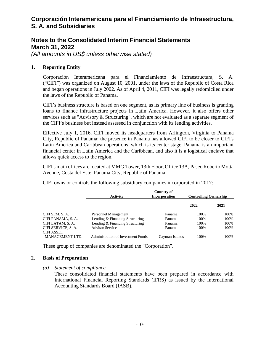### **Notes to the Consolidated Interim Financial Statements March 31, 2022**

*(All amounts in US\$ unless otherwise stated)* 

#### **1. Reporting Entity**

Corporación Interamericana para el Financiamiento de Infraestructura, S. A. ("CIFI") was organized on August 10, 2001, under the laws of the Republic of Costa Rica and began operations in July 2002. As of April 4, 2011, CIFI was legally redomiciled under the laws of the Republic of Panama.

CIFI's business structure is based on one segment, as its primary line of business is granting loans to finance infrastructure projects in Latin America. However, it also offers other services such as "Advisory & Structuring", which are not evaluated as a separate segment of the CIFI's business but instead assessed in conjunction with its lending activities.

Effective July 1, 2016, CIFI moved its headquarters from Arlington, Virginia to Panama City, Republic of Panama; the presence in Panama has allowed CIFI to be closer to CIFI's Latin America and Caribbean operations, which is its center stage. Panama is an important financial center in Latin America and the Caribbean, and also it is a logistical enclave that allows quick access to the region.

CIFI's main offices are located at MMG Tower, 13th Floor, Office 13A, Paseo Roberto Motta Avenue, Costa del Este, Panama City, Republic of Panama.

CIFI owns or controls the following subsidiary companies incorporated in 2017:

|                                          | Activity                                  | Country of<br><b>Incorporation</b> | <b>Controlling Ownership</b> |      |
|------------------------------------------|-------------------------------------------|------------------------------------|------------------------------|------|
|                                          |                                           |                                    | 2022                         | 2021 |
| CIFI SEM, S. A.                          | Personnel Management                      | Panama                             | 100%                         | 100% |
| CIFI PANAMA, S. A.                       | Lending & Financing Structuring           | Panama                             | 100%                         | 100% |
| CIFI LATAM, S. A.                        | Lending & Financing Structuring           | Panama                             | 100\%                        | 100% |
| CIFI SERVICE, S. A.<br><b>CIFI ASSET</b> | <b>Advisor Service</b>                    | Panama                             | 100%                         | 100% |
| <b>MANAGEMENT LTD.</b>                   | <b>Administration of Investment Funds</b> | Cayman Islands                     | 100%                         | 100% |

These group of companies are denominated the "Corporation".

#### **2. Basis of Preparation**

*(a) Statement of compliance* 

These consolidated financial statements have been prepared in accordance with International Financial Reporting Standards (IFRS) as issued by the International Accounting Standards Board (IASB).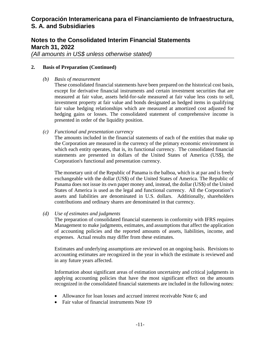# **Notes to the Consolidated Interim Financial Statements March 31, 2022**

*(All amounts in US\$ unless otherwise stated)* 

#### **2. Basis of Preparation (Continued)**

*(b) Basis of measurement* 

These consolidated financial statements have been prepared on the historical cost basis, except for derivative financial instruments and certain investment securities that are measured at fair value, assets held-for-sale measured at fair value less costs to sell, investment property at fair value and bonds designated as hedged items in qualifying fair value hedging relationships which are measured at amortized cost adjusted for hedging gains or losses. The consolidated statement of comprehensive income is presented in order of the liquidity position.

#### *(c) Functional and presentation currency*

The amounts included in the financial statements of each of the entities that make up the Corporation are measured in the currency of the primary economic environment in which each entity operates, that is, its functional currency. The consolidated financial statements are presented in dollars of the United States of America (US\$), the Corporation's functional and presentation currency.

The monetary unit of the Republic of Panama is the balboa, which is at par and is freely exchangeable with the dollar (US\$) of the United States of America. The Republic of Panama does not issue its own paper money and, instead, the dollar (US\$) of the United States of America is used as the legal and functional currency. All the Corporation's assets and liabilities are denominated in U.S. dollars. Additionally, shareholders contributions and ordinary shares are denominated in that currency.

#### *(d) Use of estimates and judgments*

The preparation of consolidated financial statements in conformity with IFRS requires Management to make judgments, estimates, and assumptions that affect the application of accounting policies and the reported amounts of assets, liabilities, income, and expenses. Actual results may differ from these estimates.

Estimates and underlying assumptions are reviewed on an ongoing basis. Revisions to accounting estimates are recognized in the year in which the estimate is reviewed and in any future years affected.

Information about significant areas of estimation uncertainty and critical judgments in applying accounting policies that have the most significant effect on the amounts recognized in the consolidated financial statements are included in the following notes:

- Allowance for loan losses and accrued interest receivable Note 6; and
- Fair value of financial instruments Note 19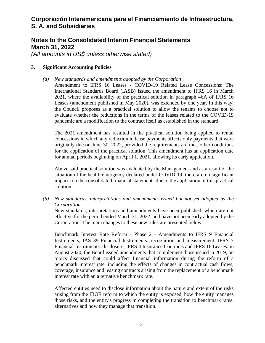# **Notes to the Consolidated Interim Financial Statements March 31, 2022**

*(All amounts in US\$ unless otherwise stated)* 

#### **3. Significant Accounting Policies**

*(a) New standards and amendments adopted by the Corporation*

Amendment to IFRS 16 Leases - COVID-19 Related Lease Concessions: The International Standards Board (IASB) issued the amendment to IFRS 16 in March 2021, where the availability of the practical solution in paragraph 46A of IFRS 16 Leases (amendment published in May 2020). was extended by one year. In this way, the Council proposes as a practical solution to allow the tenants to choose not to evaluate whether the reductions in the terms of the leases related to the COVID-19 pandemic are a modification to the contract itself as established in the standard.

The 2021 amendment has resulted in the practical solution being applied to rental concessions in which any reduction in lease payments affects only payments that were originally due on June 30, 2022, provided the requirements are met. other conditions for the application of the practical solution. This amendment has an application date for annual periods beginning on April 1, 2021, allowing its early application.

Above said practical solution was evaluated by the Management and as a result of the situation of the health emergency declared under COVID-19, there are no significant impacts on the consolidated financial statements due to the application of this practical solution.

*(b) New standards, interpretations and amendments issued but not yet adopted by the Corporation*

New standards, interpretations and amendments have been published, which are not effective for the period ended March 31, 2022, and have not been early adopted by the Corporation. The main changes to these new rules are presented below:

Benchmark Interest Rate Reform - Phase 2 - Amendments to IFRS 9 Financial Instruments, IAS 39 Financial Instruments: recognition and measurement, IFRS 7 Financial Instruments: disclosure, IFRS 4 Insurance Contracts and IFRS 16 Leases: in August 2020, the Board issued amendments that complement those issued in 2019, on topics discussed that could affect financial information during the reform of a benchmark interest rate, including the effects of changes in contractual cash flows, coverage, insurance and leasing contracts arising from the replacement of a benchmark interest rate with an alternative benchmark rate.

Affected entities need to disclose information about the nature and extent of the risks arising from the IBOR reform to which the entity is exposed, how the entity manages those risks, and the entity's progress in completing the transition to benchmark rates. alternatives and how they manage that transition.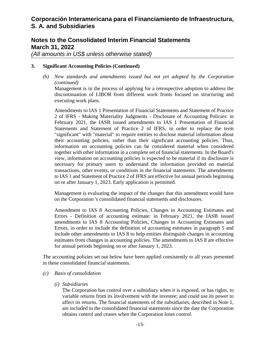# **Notes to the Consolidated Interim Financial Statements March 31, 2022**

*(All amounts in US\$ unless otherwise stated)* 

#### **3. Significant Accounting Policies (Continued)**

*(b) New standards and amendments issued but not yet adopted by the Corporation (continued)*

Management is in the process of applying for a retrospective adoption to address the discontinuation of LIBOR from different work fronts focused on structuring and executing work plans.

Amendments to IAS 1 Presentation of Financial Statements and Statement of Practice 2 of IFRS - Making Materiality Judgments - Disclosure of Accounting Policies: in February 2021, the IASB issued amendments to IAS 1 Presentation of Financial Statements and Statement of Practice 2 of IFRS, in order to replace the term "significant" with "material" to require entities to disclose material information about their accounting policies, rather than their significant accounting policies. Thus, information on accounting policies can be considered material when considered together with other information in a complete set of financial statements. In the Board's view, information on accounting policies is expected to be material if its disclosure is necessary for primary users to understand the information provided on material transactions, other events, or conditions in the financial statements. The amendments to IAS 1 and Statement of Practice 2 of IFRS are effective for annual periods beginning on or after January 1, 2023. Early application is permitted.

Management is evaluating the impact of the changes that this amendment would have on the Corporation 's consolidated financial statements and disclosures.

Amendment to IAS 8 Accounting Policies, Changes in Accounting Estimates and Errors - Definition of accounting estimate: in February 2021, the IASB issued amendments to IAS 8 Accounting Policies, Changes in Accounting Estimates and Errors, in order to include the definition of accounting estimates in paragraph 5 and include other amendments to IAS 8 to help entities distinguish changes in accounting estimates from changes in accounting policies. The amendments to IAS 8 are effective for annual periods beginning on or after January 1, 2023.

The accounting policies set out below have been applied consistently to all years presented in these consolidated financial statements.

#### *(c) Basis of consolidation*

*(i) Subsidiaries* 

The Corporation has control over a subsidiary when it is exposed, or has rights, to variable returns from its involvement with the investee; and could use its power to affect its returns. The financial statements of the subsidiaries, described in Note 1, are included in the consolidated financial statements since the date the Corporation obtains control and ceases when the Corporation loses control.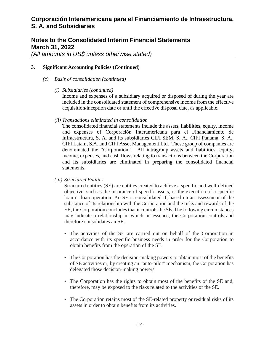# **Notes to the Consolidated Interim Financial Statements March 31, 2022**

*(All amounts in US\$ unless otherwise stated)* 

#### **3. Significant Accounting Policies (Continued)**

- *(c) Basis of consolidation (continued)* 
	- *(i) Subsidiaries (continued)*

Income and expenses of a subsidiary acquired or disposed of during the year are included in the consolidated statement of comprehensive income from the effective acquisition/inception date or until the effective disposal date, as applicable.

#### *(ii) Transactions eliminated in consolidation*

The consolidated financial statements include the assets, liabilities, equity, income and expenses of Corporación Interamericana para el Financiamiento de Infraestructura, S. A. and its subsidiaries CIFI SEM, S. A., CIFI Panamá, S. A., CIFI Latam, S.A. and CIFI Asset Management Ltd. These group of companies are denominated the "Corporation". All intragroup assets and liabilities, equity, income, expenses, and cash flows relating to transactions between the Corporation and its subsidiaries are eliminated in preparing the consolidated financial statements.

*(iii) Structured Entities*

Structured entities (SE) are entities created to achieve a specific and well-defined objective, such as the insurance of specific assets, or the execution of a specific loan or loan operation. An SE is consolidated if, based on an assessment of the substance of its relationship with the Corporation and the risks and rewards of the EE, the Corporation concludes that it controls the SE. The following circumstances may indicate a relationship in which, in essence, the Corporation controls and therefore consolidates an SE:

- The activities of the SE are carried out on behalf of the Corporation in accordance with its specific business needs in order for the Corporation to obtain benefits from the operation of the SE.
- The Corporation has the decision-making powers to obtain most of the benefits of SE activities or, by creating an "auto-pilot" mechanism, the Corporation has delegated those decision-making powers.
- The Corporation has the rights to obtain most of the benefits of the SE and, therefore, may be exposed to the risks related to the activities of the SE.
- The Corporation retains most of the SE-related property or residual risks of its assets in order to obtain benefits from its activities.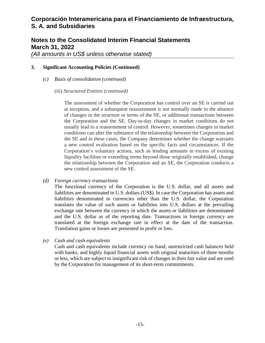# **Notes to the Consolidated Interim Financial Statements March 31, 2022**

*(All amounts in US\$ unless otherwise stated)* 

### **3. Significant Accounting Policies (Continued)**

- *(c) Basis of consolidation (continued)* 
	- *(iii) Structured Entities (continued)*

The assessment of whether the Corporation has control over an SE is carried out at inception, and a subsequent reassessment is not normally made in the absence of changes in the structure or terms of the SE, or additional transactions between the Corporation and the SE. Day-to-day changes in market conditions do not usually lead to a reassessment of control. However, sometimes changes in market conditions can alter the substance of the relationship between the Corporation and the SE and in these cases, the Company determines whether the change warrants a new control evaluation based on the specific facts and circumstances. If the Corporation's voluntary actions, such as lending amounts in excess of existing liquidity facilities or extending terms beyond those originally established, change the relationship between the Corporation and an SE, the Corporation conducts a new control assessment of the SE.

*(d) Foreign currency transactions* 

The functional currency of the Corporation is the U.S. dollar, and all assets and liabilities are denominated in U.S. dollars (US\$). In case the Corporation has assets and liabilities denominated in currencies other than the U.S. dollar, the Corporation translates the value of such assets or liabilities into U.S. dollars at the prevailing exchange rate between the currency in which the assets or liabilities are denominated and the U.S. dollar as of the reporting date. Transactions in foreign currency are translated at the foreign exchange rate in effect at the date of the transaction. Translation gains or losses are presented in profit or loss.

*(e) Cash and cash equivalents* 

Cash and cash equivalents include currency on hand, unrestricted cash balances held with banks, and highly liquid financial assets with original maturities of three months or less, which are subject to insignificant risk of changes in their fair value and are used by the Corporation for management of its short-term commitments.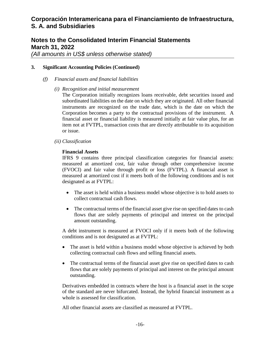### **Notes to the Consolidated Interim Financial Statements March 31, 2022**

*(All amounts in US\$ unless otherwise stated)* 

#### **3. Significant Accounting Policies (Continued)**

- *(f) Financial assets and financial liabilities* 
	- *(i) Recognition and initial measurement*

The Corporation initially recognizes loans receivable, debt securities issued and subordinated liabilities on the date on which they are originated. All other financial instruments are recognized on the trade date, which is the date on which the Corporation becomes a party to the contractual provisions of the instrument. A financial asset or financial liability is measured initially at fair value plus, for an item not at FVTPL, transaction costs that are directly attributable to its acquisition or issue.

*(ii) Classification* 

#### **Financial Assets**

IFRS 9 contains three principal classification categories for financial assets: measured at amortized cost, fair value through other comprehensive income (FVOCI) and fair value through profit or loss (FVTPL). A financial asset is measured at amortized cost if it meets both of the following conditions and is not designated as at FVTPL:

- The asset is held within a business model whose objective is to hold assets to collect contractual cash flows.
- The contractual terms of the financial asset give rise on specified dates to cash flows that are solely payments of principal and interest on the principal amount outstanding.

A debt instrument is measured at FVOCI only if it meets both of the following conditions and is not designated as at FVTPL:

- The asset is held within a business model whose objective is achieved by both collecting contractual cash flows and selling financial assets.
- The contractual terms of the financial asset give rise on specified dates to cash flows that are solely payments of principal and interest on the principal amount outstanding.

Derivatives embedded in contracts where the host is a financial asset in the scope of the standard are never bifurcated. Instead, the hybrid financial instrument as a whole is assessed for classification.

All other financial assets are classified as measured at FVTPL.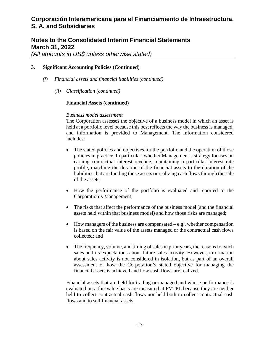### **Notes to the Consolidated Interim Financial Statements March 31, 2022**

*(All amounts in US\$ unless otherwise stated)* 

### **3. Significant Accounting Policies (Continued)**

- *(f) Financial assets and financial liabilities (continued)* 
	- *(ii) Classification (continued)*

#### **Financial Assets (continued)**

#### *Business model assessment*

The Corporation assesses the objective of a business model in which an asset is held at a portfolio level because this best reflects the way the business is managed, and information is provided to Management. The information considered includes:

- The stated policies and objectives for the portfolio and the operation of those policies in practice. In particular, whether Management's strategy focuses on earning contractual interest revenue, maintaining a particular interest rate profile, matching the duration of the financial assets to the duration of the liabilities that are funding those assets or realizing cash flows through the sale of the assets;
- How the performance of the portfolio is evaluated and reported to the Corporation's Management;
- The risks that affect the performance of the business model (and the financial assets held within that business model) and how those risks are managed;
- $\bullet$  How managers of the business are compensated e.g., whether compensation is based on the fair value of the assets managed or the contractual cash flows collected; and
- The frequency, volume, and timing of sales in prior years, the reasons for such sales and its expectations about future sales activity. However, information about sales activity is not considered in isolation, but as part of an overall assessment of how the Corporation's stated objective for managing the financial assets is achieved and how cash flows are realized.

Financial assets that are held for trading or managed and whose performance is evaluated on a fair value basis are measured at FVTPL because they are neither held to collect contractual cash flows nor held both to collect contractual cash flows and to sell financial assets.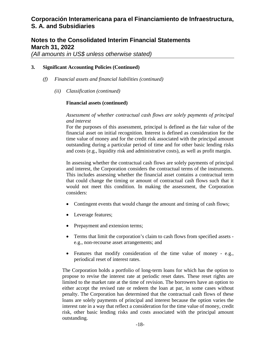### **Notes to the Consolidated Interim Financial Statements March 31, 2022**

*(All amounts in US\$ unless otherwise stated)* 

### **3. Significant Accounting Policies (Continued)**

- *(f) Financial assets and financial liabilities (continued)* 
	- *(ii) Classification (continued)*

#### **Financial assets (continued)**

*Assessment of whether contractual cash flows are solely payments of principal and interest* 

For the purposes of this assessment, principal is defined as the fair value of the financial asset on initial recognition. Interest is defined as consideration for the time value of money and for the credit risk associated with the principal amount outstanding during a particular period of time and for other basic lending risks and costs (e.g., liquidity risk and administrative costs), as well as profit margin.

In assessing whether the contractual cash flows are solely payments of principal and interest, the Corporation considers the contractual terms of the instruments. This includes assessing whether the financial asset contains a contractual term that could change the timing or amount of contractual cash flows such that it would not meet this condition. In making the assessment, the Corporation considers:

- Contingent events that would change the amount and timing of cash flows;
- Leverage features;
- Prepayment and extension terms;
- Terms that limit the corporation's claim to cash flows from specified assets e.g., non-recourse asset arrangements; and
- Features that modify consideration of the time value of money e.g., periodical reset of interest rates.

The Corporation holds a portfolio of long-term loans for which has the option to propose to revise the interest rate at periodic reset dates. These reset rights are limited to the market rate at the time of revision. The borrowers have an option to either accept the revised rate or redeem the loan at par, in some cases without penalty. The Corporation has determined that the contractual cash flows of these loans are solely payments of principal and interest because the option varies the interest rate in a way that reflect a consideration for the time value of money, credit risk, other basic lending risks and costs associated with the principal amount outstanding.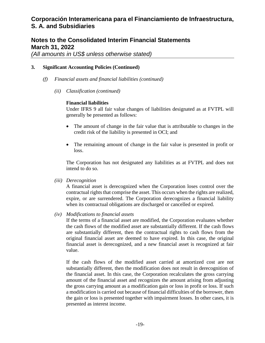### **Notes to the Consolidated Interim Financial Statements March 31, 2022**

*(All amounts in US\$ unless otherwise stated)* 

#### **3. Significant Accounting Policies (Continued)**

- *(f) Financial assets and financial liabilities (continued)* 
	- *(ii) Classification (continued)*

#### **Financial liabilities**

Under IFRS 9 all fair value changes of liabilities designated as at FVTPL will generally be presented as follows:

- The amount of change in the fair value that is attributable to changes in the credit risk of the liability is presented in OCI; and
- The remaining amount of change in the fair value is presented in profit or loss.

The Corporation has not designated any liabilities as at FVTPL and does not intend to do so.

#### *(iii) Derecognition*

A financial asset is derecognized when the Corporation loses control over the contractual rights that comprise the asset. This occurs when the rights are realized, expire, or are surrendered. The Corporation derecognizes a financial liability when its contractual obligations are discharged or cancelled or expired.

*(iv) Modifications to financial assets* 

If the terms of a financial asset are modified, the Corporation evaluates whether the cash flows of the modified asset are substantially different. If the cash flows are substantially different, then the contractual rights to cash flows from the original financial asset are deemed to have expired. In this case, the original financial asset is derecognized, and a new financial asset is recognized at fair value.

If the cash flows of the modified asset carried at amortized cost are not substantially different, then the modification does not result in derecognition of the financial asset. In this case, the Corporation recalculates the gross carrying amount of the financial asset and recognizes the amount arising from adjusting the gross carrying amount as a modification gain or loss in profit or loss. If such a modification is carried out because of financial difficulties of the borrower, then the gain or loss is presented together with impairment losses. In other cases, it is presented as interest income.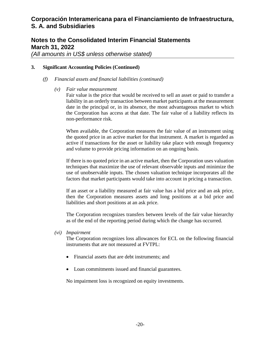# **Notes to the Consolidated Interim Financial Statements March 31, 2022**

*(All amounts in US\$ unless otherwise stated)* 

### **3. Significant Accounting Policies (Continued)**

- *(f) Financial assets and financial liabilities (continued)* 
	- *(v) Fair value measurement*

Fair value is the price that would be received to sell an asset or paid to transfer a liability in an orderly transaction between market participants at the measurement date in the principal or, in its absence, the most advantageous market to which the Corporation has access at that date. The fair value of a liability reflects its non-performance risk.

When available, the Corporation measures the fair value of an instrument using the quoted price in an active market for that instrument. A market is regarded as active if transactions for the asset or liability take place with enough frequency and volume to provide pricing information on an ongoing basis.

If there is no quoted price in an active market, then the Corporation uses valuation techniques that maximize the use of relevant observable inputs and minimize the use of unobservable inputs. The chosen valuation technique incorporates all the factors that market participants would take into account in pricing a transaction.

If an asset or a liability measured at fair value has a bid price and an ask price, then the Corporation measures assets and long positions at a bid price and liabilities and short positions at an ask price.

The Corporation recognizes transfers between levels of the fair value hierarchy as of the end of the reporting period during which the change has occurred.

*(vi) Impairment* 

The Corporation recognizes loss allowances for ECL on the following financial instruments that are not measured at FVTPL:

- Financial assets that are debt instruments; and
- Loan commitments issued and financial guarantees.

No impairment loss is recognized on equity investments.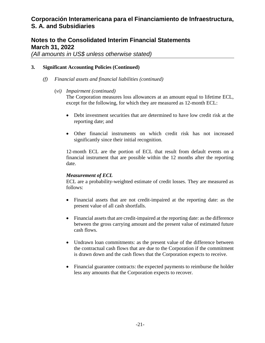### **Notes to the Consolidated Interim Financial Statements March 31, 2022**

*(All amounts in US\$ unless otherwise stated)* 

### **3. Significant Accounting Policies (Continued)**

- *(f) Financial assets and financial liabilities (continued)* 
	- (*vi) Impairment (continued)*

The Corporation measures loss allowances at an amount equal to lifetime ECL, except for the following, for which they are measured as 12-month ECL:

- Debt investment securities that are determined to have low credit risk at the reporting date; and
- Other financial instruments on which credit risk has not increased significantly since their initial recognition.

12-month ECL are the portion of ECL that result from default events on a financial instrument that are possible within the 12 months after the reporting date.

#### *Measurement of ECL*

ECL are a probability-weighted estimate of credit losses. They are measured as follows:

- Financial assets that are not credit-impaired at the reporting date: as the present value of all cash shortfalls.
- Financial assets that are credit-impaired at the reporting date: as the difference between the gross carrying amount and the present value of estimated future cash flows.
- Undrawn loan commitments: as the present value of the difference between the contractual cash flows that are due to the Corporation if the commitment is drawn down and the cash flows that the Corporation expects to receive.
- Financial guarantee contracts: the expected payments to reimburse the holder less any amounts that the Corporation expects to recover.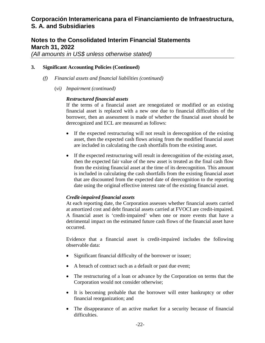# **Notes to the Consolidated Interim Financial Statements March 31, 2022**

*(All amounts in US\$ unless otherwise stated)* 

### **3. Significant Accounting Policies (Continued)**

- *(f) Financial assets and financial liabilities (continued)* 
	- (*vi) Impairment (continued)*

#### *Restructured financial assets*

If the terms of a financial asset are renegotiated or modified or an existing financial asset is replaced with a new one due to financial difficulties of the borrower, then an assessment is made of whether the financial asset should be derecognized and ECL are measured as follows:

- If the expected restructuring will not result in derecognition of the existing asset, then the expected cash flows arising from the modified financial asset are included in calculating the cash shortfalls from the existing asset.
- If the expected restructuring will result in derecognition of the existing asset, then the expected fair value of the new asset is treated as the final cash flow from the existing financial asset at the time of its derecognition. This amount is included in calculating the cash shortfalls from the existing financial asset that are discounted from the expected date of derecognition to the reporting date using the original effective interest rate of the existing financial asset.

### *Credit-impaired financial assets*

At each reporting date, the Corporation assesses whether financial assets carried at amortized cost and debt financial assets carried at FVOCI are credit-impaired. A financial asset is 'credit-impaired' when one or more events that have a detrimental impact on the estimated future cash flows of the financial asset have occurred.

Evidence that a financial asset is credit-impaired includes the following observable data:

- Significant financial difficulty of the borrower or issuer;
- A breach of contract such as a default or past due event;
- The restructuring of a loan or advance by the Corporation on terms that the Corporation would not consider otherwise;
- It is becoming probable that the borrower will enter bankruptcy or other financial reorganization; and
- The disappearance of an active market for a security because of financial difficulties.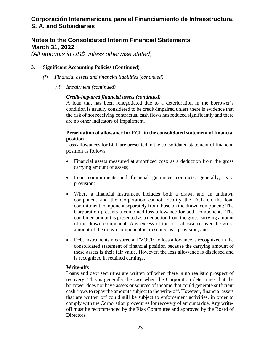### **Notes to the Consolidated Interim Financial Statements March 31, 2022**

*(All amounts in US\$ unless otherwise stated)* 

### **3. Significant Accounting Policies (Continued)**

- *(f) Financial assets and financial liabilities (continued)* 
	- (*vi) Impairment (continued)*

### *Credit-impaired financial assets (continued)*

A loan that has been renegotiated due to a deterioration in the borrower's condition is usually considered to be credit-impaired unless there is evidence that the risk of not receiving contractual cash flows has reduced significantly and there are no other indicators of impairment.

### **Presentation of allowance for ECL in the consolidated statement of financial position**

Loss allowances for ECL are presented in the consolidated statement of financial position as follows:

- Financial assets measured at amortized cost: as a deduction from the gross carrying amount of assets;
- Loan commitments and financial guarantee contracts: generally, as a provision;
- Where a financial instrument includes both a drawn and an undrawn component and the Corporation cannot identify the ECL on the loan commitment component separately from those on the drawn component: The Corporation presents a combined loss allowance for both components. The combined amount is presented as a deduction from the gross carrying amount of the drawn component. Any excess of the loss allowance over the gross amount of the drawn component is presented as a provision; and
- Debt instruments measured at FVOCI: no loss allowance is recognized in the consolidated statement of financial position because the carrying amount of these assets is their fair value. However, the loss allowance is disclosed and is recognized in retained earnings.

### **Write-offs**

Loans and debt securities are written off when there is no realistic prospect of recovery. This is generally the case when the Corporation determines that the borrower does not have assets or sources of income that could generate sufficient cash flows to repay the amounts subject to the write-off. However, financial assets that are written off could still be subject to enforcement activities, in order to comply with the Corporation procedures for recovery of amounts due. Any writeoff must be recommended by the Risk Committee and approved by the Board of Directors.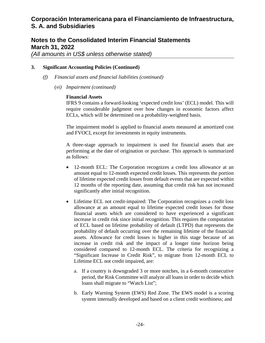### **Notes to the Consolidated Interim Financial Statements March 31, 2022**

*(All amounts in US\$ unless otherwise stated)* 

### **3. Significant Accounting Policies (Continued)**

- *(f) Financial assets and financial liabilities (continued)* 
	- (*vi) Impairment (continued)*

### **Financial Assets**

IFRS 9 contains a forward-looking 'expected credit loss' (ECL) model. This will require considerable judgment over how changes in economic factors affect ECLs, which will be determined on a probability-weighted basis.

The impairment model is applied to financial assets measured at amortized cost and FVOCI, except for investments in equity instruments.

A three-stage approach to impairment is used for financial assets that are performing at the date of origination or purchase. This approach is summarized as follows:

- 12-month ECL: The Corporation recognizes a credit loss allowance at an amount equal to 12-month expected credit losses. This represents the portion of lifetime expected credit losses from default events that are expected within 12 months of the reporting date, assuming that credit risk has not increased significantly after initial recognition.
- Lifetime ECL not credit-impaired: The Corporation recognizes a credit loss allowance at an amount equal to lifetime expected credit losses for those financial assets which are considered to have experienced a significant increase in credit risk since initial recognition. This requires the computation of ECL based on lifetime probability of default (LTPD) that represents the probability of default occurring over the remaining lifetime of the financial assets. Allowance for credit losses is higher in this stage because of an increase in credit risk and the impact of a longer time horizon being considered compared to 12-month ECL. The criteria for recognizing a "Significant Increase in Credit Risk", to migrate from 12-month ECL to Lifetime ECL not credit impaired, are:
	- a. If a country is downgraded 3 or more notches, in a 6-month consecutive period, the Risk Committee will analyze all loans in order to decide which loans shall migrate to "Watch List";
	- b. Early Warning System (EWS) Red Zone. The EWS model is a scoring system internally developed and based on a client credit worthiness; and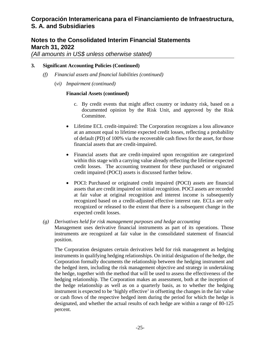### **Notes to the Consolidated Interim Financial Statements March 31, 2022**

*(All amounts in US\$ unless otherwise stated)* 

#### **3. Significant Accounting Policies (Continued)**

- *(f) Financial assets and financial liabilities (continued)* 
	- (*vi) Impairment (continued)*

#### **Financial Assets (continued)**

- c. By credit events that might affect country or industry risk, based on a documented opinion by the Risk Unit, and approved by the Risk Committee.
- Lifetime ECL credit-impaired: The Corporation recognizes a loss allowance at an amount equal to lifetime expected credit losses, reflecting a probability of default (PD) of 100% via the recoverable cash flows for the asset, for those financial assets that are credit-impaired.
- Financial assets that are credit-impaired upon recognition are categorized within this stage with a carrying value already reflecting the lifetime expected credit losses. The accounting treatment for these purchased or originated credit impaired (POCI) assets is discussed further below.
- POCI: Purchased or originated credit impaired (POCI) assets are financial assets that are credit impaired on initial recognition. POCI assets are recorded at fair value at original recognition and interest income is subsequently recognized based on a credit-adjusted effective interest rate. ECLs are only recognized or released to the extent that there is a subsequent change in the expected credit losses.
- *(g) Derivatives held for risk management purposes and hedge accounting*  Management uses derivative financial instruments as part of its operations. Those instruments are recognized at fair value in the consolidated statement of financial position.

The Corporation designates certain derivatives held for risk management as hedging instruments in qualifying hedging relationships. On initial designation of the hedge, the Corporation formally documents the relationship between the hedging instrument and the hedged item, including the risk management objective and strategy in undertaking the hedge, together with the method that will be used to assess the effectiveness of the hedging relationship. The Corporation makes an assessment, both at the inception of the hedge relationship as well as on a quarterly basis, as to whether the hedging instrument is expected to be 'highly effective' in offsetting the changes in the fair value or cash flows of the respective hedged item during the period for which the hedge is designated, and whether the actual results of each hedge are within a range of 80-125 percent.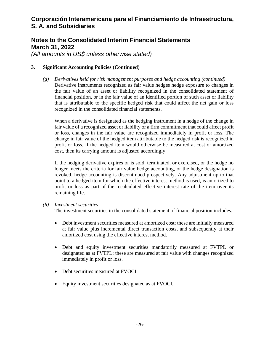# **Notes to the Consolidated Interim Financial Statements March 31, 2022**

*(All amounts in US\$ unless otherwise stated)* 

### **3. Significant Accounting Policies (Continued)**

*(g) Derivatives held for risk management purposes and hedge accounting (continued)*  Derivative instruments recognized as fair value hedges hedge exposure to changes in the fair value of an asset or liability recognized in the consolidated statement of financial position, or in the fair value of an identified portion of such asset or liability that is attributable to the specific hedged risk that could affect the net gain or loss recognized in the consolidated financial statements.

When a derivative is designated as the hedging instrument in a hedge of the change in fair value of a recognized asset or liability or a firm commitment that could affect profit or loss, changes in the fair value are recognized immediately in profit or loss. The change in fair value of the hedged item attributable to the hedged risk is recognized in profit or loss. If the hedged item would otherwise be measured at cost or amortized cost, then its carrying amount is adjusted accordingly.

If the hedging derivative expires or is sold, terminated, or exercised, or the hedge no longer meets the criteria for fair value hedge accounting, or the hedge designation is revoked, hedge accounting is discontinued prospectively. Any adjustment up to that point to a hedged item for which the effective interest method is used, is amortized to profit or loss as part of the recalculated effective interest rate of the item over its remaining life.

#### *(h) Investment securities*

The investment securities in the consolidated statement of financial position includes:

- Debt investment securities measured at amortized cost; these are initially measured at fair value plus incremental direct transaction costs, and subsequently at their amortized cost using the effective interest method.
- Debt and equity investment securities mandatorily measured at FVTPL or designated as at FVTPL; these are measured at fair value with changes recognized immediately in profit or loss.
- Debt securities measured at FVOCI.
- Equity investment securities designated as at FVOCI.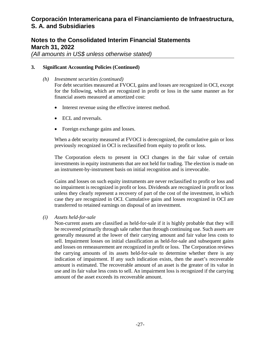# **Notes to the Consolidated Interim Financial Statements March 31, 2022**

*(All amounts in US\$ unless otherwise stated)* 

### **3. Significant Accounting Policies (Continued)**

- *(h) Investment securities (continued)*  For debt securities measured at FVOCI, gains and losses are recognized in OCI, except for the following, which are recognized in profit or loss in the same manner as for financial assets measured at amortized cost:
	- Interest revenue using the effective interest method.
	- ECL and reversals.
	- Foreign exchange gains and losses.

When a debt security measured at FVOCI is derecognized, the cumulative gain or loss previously recognized in OCI is reclassified from equity to profit or loss.

The Corporation elects to present in OCI changes in the fair value of certain investments in equity instruments that are not held for trading. The election is made on an instrument-by-instrument basis on initial recognition and is irrevocable.

Gains and losses on such equity instruments are never reclassified to profit or loss and no impairment is recognized in profit or loss. Dividends are recognized in profit or loss unless they clearly represent a recovery of part of the cost of the investment, in which case they are recognized in OCI. Cumulative gains and losses recognized in OCI are transferred to retained earnings on disposal of an investment.

### *(i) Assets held-for-sale*

Non-current assets are classified as held-for-sale if it is highly probable that they will be recovered primarily through sale rather than through continuing use. Such assets are generally measured at the lower of their carrying amount and fair value less costs to sell. Impairment losses on initial classification as held-for-sale and subsequent gains and losses on remeasurement are recognized in profit or loss. The Corporation reviews the carrying amounts of its assets held-for-sale to determine whether there is any indication of impairment. If any such indication exists, then the asset's recoverable amount is estimated. The recoverable amount of an asset is the greater of its value in use and its fair value less costs to sell. An impairment loss is recognized if the carrying amount of the asset exceeds its recoverable amount.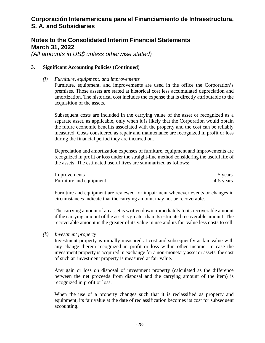### **Notes to the Consolidated Interim Financial Statements March 31, 2022**

*(All amounts in US\$ unless otherwise stated)* 

#### **3. Significant Accounting Policies (Continued)**

acquisition of the assets.

*(j) Furniture, equipment, and improvements*  Furniture, equipment, and improvements are used in the office the Corporation's premises. Those assets are stated at historical cost less accumulated depreciation and amortization. The historical cost includes the expense that is directly attributable to the

Subsequent costs are included in the carrying value of the asset or recognized as a separate asset, as applicable, only when it is likely that the Corporation would obtain the future economic benefits associated with the property and the cost can be reliably measured. Costs considered as repair and maintenance are recognized in profit or loss during the financial period they are incurred on.

Depreciation and amortization expenses of furniture, equipment and improvements are recognized in profit or loss under the straight-line method considering the useful life of the assets. The estimated useful lives are summarized as follows:

| Improvements            | 5 years   |
|-------------------------|-----------|
| Furniture and equipment | 4-5 years |

Furniture and equipment are reviewed for impairment whenever events or changes in circumstances indicate that the carrying amount may not be recoverable.

The carrying amount of an asset is written down immediately to its recoverable amount if the carrying amount of the asset is greater than its estimated recoverable amount. The recoverable amount is the greater of its value in use and its fair value less costs to sell.

#### *(k) Investment property*

Investment property is initially measured at cost and subsequently at fair value with any change therein recognized in profit or loss within other income. In case the investment property is acquired in exchange for a non-monetary asset or assets, the cost of such an investment property is measured at fair value.

Any gain or loss on disposal of investment property (calculated as the difference between the net proceeds from disposal and the carrying amount of the item) is recognized in profit or loss.

When the use of a property changes such that it is reclassified as property and equipment, its fair value at the date of reclassification becomes its cost for subsequent accounting.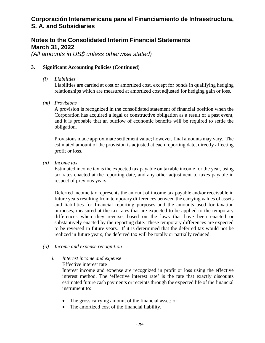# **Notes to the Consolidated Interim Financial Statements March 31, 2022**

*(All amounts in US\$ unless otherwise stated)* 

#### **3. Significant Accounting Policies (Continued)**

*(l) Liabilities* 

Liabilities are carried at cost or amortized cost, except for bonds in qualifying hedging relationships which are measured at amortized cost adjusted for hedging gain or loss.

*(m) Provisions* 

A provision is recognized in the consolidated statement of financial position when the Corporation has acquired a legal or constructive obligation as a result of a past event, and it is probable that an outflow of economic benefits will be required to settle the obligation.

Provisions made approximate settlement value; however, final amounts may vary. The estimated amount of the provision is adjusted at each reporting date, directly affecting profit or loss.

*(n) Income tax* 

Estimated income tax is the expected tax payable on taxable income for the year, using tax rates enacted at the reporting date, and any other adjustment to taxes payable in respect of previous years.

Deferred income tax represents the amount of income tax payable and/or receivable in future years resulting from temporary differences between the carrying values of assets and liabilities for financial reporting purposes and the amounts used for taxation purposes, measured at the tax rates that are expected to be applied to the temporary differences when they reverse, based on the laws that have been enacted or substantively enacted by the reporting date. These temporary differences are expected to be reversed in future years. If it is determined that the deferred tax would not be realized in future years, the deferred tax will be totally or partially reduced.

*(o) Income and expense recognition* 

### *i. Interest income and expense*

Effective interest rate

Interest income and expense are recognized in profit or loss using the effective interest method. The 'effective interest rate' is the rate that exactly discounts estimated future cash payments or receipts through the expected life of the financial instrument to:

- The gross carrying amount of the financial asset; or
- The amortized cost of the financial liability.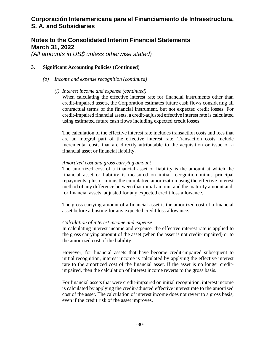### **Notes to the Consolidated Interim Financial Statements March 31, 2022**

*(All amounts in US\$ unless otherwise stated)* 

#### **3. Significant Accounting Policies (Continued)**

- *(o) Income and expense recognition (continued)* 
	- *(i) Interest income and expense (continued)*

When calculating the effective interest rate for financial instruments other than credit-impaired assets, the Corporation estimates future cash flows considering all contractual terms of the financial instrument, but not expected credit losses. For credit-impaired financial assets, a credit-adjusted effective interest rate is calculated using estimated future cash flows including expected credit losses.

The calculation of the effective interest rate includes transaction costs and fees that are an integral part of the effective interest rate. Transaction costs include incremental costs that are directly attributable to the acquisition or issue of a financial asset or financial liability.

#### *Amortized cost and gross carrying amount*

The amortized cost of a financial asset or liability is the amount at which the financial asset or liability is measured on initial recognition minus principal repayments, plus or minus the cumulative amortization using the effective interest method of any difference between that initial amount and the maturity amount and, for financial assets, adjusted for any expected credit loss allowance.

The gross carrying amount of a financial asset is the amortized cost of a financial asset before adjusting for any expected credit loss allowance.

### *Calculation of interest income and expense*

In calculating interest income and expense, the effective interest rate is applied to the gross carrying amount of the asset (when the asset is not credit-impaired) or to the amortized cost of the liability.

However, for financial assets that have become credit-impaired subsequent to initial recognition, interest income is calculated by applying the effective interest rate to the amortized cost of the financial asset. If the asset is no longer creditimpaired, then the calculation of interest income reverts to the gross basis.

For financial assets that were credit-impaired on initial recognition, interest income is calculated by applying the credit-adjusted effective interest rate to the amortized cost of the asset. The calculation of interest income does not revert to a gross basis, even if the credit risk of the asset improves.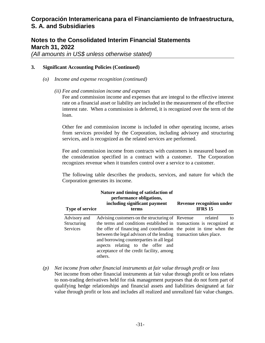### **Notes to the Consolidated Interim Financial Statements March 31, 2022**

*(All amounts in US\$ unless otherwise stated)* 

#### **3. Significant Accounting Policies (Continued)**

- *(o) Income and expense recognition (continued)* 
	- *(ii) Fee and commission income and expenses*

Fee and commission income and expenses that are integral to the effective interest rate on a financial asset or liability are included in the measurement of the effective interest rate. When a commission is deferred, it is recognized over the term of the loan.

Other fee and commission income is included in other operating income, arises from services provided by the Corporation, including advisory and structuring services, and is recognized as the related services are performed.

Fee and commission income from contracts with customers is measured based on the consideration specified in a contract with a customer. The Corporation recognizes revenue when it transfers control over a service to a customer.

The following table describes the products, services, and nature for which the Corporation generates its income.

| <b>Type of service</b>                  | Nature and timing of satisfaction of<br>performance obligations,<br>including significant payment<br>terms                                                                                                                                                                                                                                                                                                     | <b>Revenue recognition under</b><br><b>IFRS 15</b> |
|-----------------------------------------|----------------------------------------------------------------------------------------------------------------------------------------------------------------------------------------------------------------------------------------------------------------------------------------------------------------------------------------------------------------------------------------------------------------|----------------------------------------------------|
| Advisory and<br>Structuring<br>Services | Advising customers on the structuring of Revenue<br>the terms and conditions established in transactions is recognized at<br>the offer of financing and coordination the point in time when the<br>between the legal advisors of the lending transaction takes place.<br>and borrowing counterparties in all legal<br>aspects relating to the offer and<br>acceptance of the credit facility, among<br>others. | related<br>to                                      |

*(p) Net income from other financial instruments at fair value through profit or loss*  Net income from other financial instruments at fair value through profit or loss relates to non-trading derivatives held for risk management purposes that do not form part of qualifying hedge relationships and financial assets and liabilities designated at fair value through profit or loss and includes all realized and unrealized fair value changes.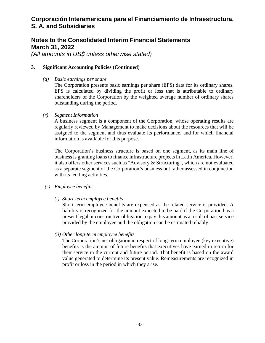# **Notes to the Consolidated Interim Financial Statements March 31, 2022**

*(All amounts in US\$ unless otherwise stated)* 

#### **3. Significant Accounting Policies (Continued)**

*(q) Basic earnings per share* 

The Corporation presents basic earnings per share (EPS) data for its ordinary shares. EPS is calculated by dividing the profit or loss that is attributable to ordinary shareholders of the Corporation by the weighted average number of ordinary shares outstanding during the period.

*(r) Segment Information* 

A business segment is a component of the Corporation, whose operating results are regularly reviewed by Management to make decisions about the resources that will be assigned to the segment and thus evaluate its performance, and for which financial information is available for this purpose.

The Corporation's business structure is based on one segment, as its main line of business is granting loans to finance infrastructure projects in Latin America. However, it also offers other services such as "Advisory & Structuring", which are not evaluated as a separate segment of the Corporation's business but rather assessed in conjunction with its lending activities.

### *(s) Employee benefits*

*(i) Short-term employee benefits* 

Short-term employee benefits are expensed as the related service is provided. A liability is recognized for the amount expected to be paid if the Corporation has a present legal or constructive obligation to pay this amount as a result of past service provided by the employee and the obligation can be estimated reliably.

#### *(ii) Other long-term employee benefits*

The Corporation's net obligation in respect of long-term employee (key executive) benefits is the amount of future benefits that executives have earned in return for their service in the current and future period. That benefit is based on the award value generated to determine its present value. Remeasurements are recognized in profit or loss in the period in which they arise.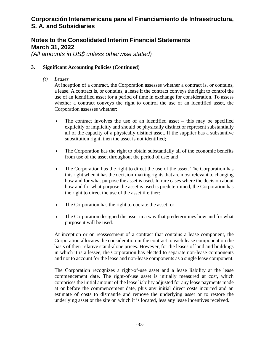# **Notes to the Consolidated Interim Financial Statements March 31, 2022**

*(All amounts in US\$ unless otherwise stated)* 

#### **3. Significant Accounting Policies (Continued)**

*(t) Leases* 

At inception of a contract, the Corporation assesses whether a contract is, or contains, a lease. A contract is, or contains, a lease if the contract conveys the right to control the use of an identified asset for a period of time in exchange for consideration. To assess whether a contract conveys the right to control the use of an identified asset, the Corporation assesses whether:

- The contract involves the use of an identified asset this may be specified explicitly or implicitly and should be physically distinct or represent substantially all of the capacity of a physically distinct asset. If the supplier has a substantive substitution right, then the asset is not identified;
- The Corporation has the right to obtain substantially all of the economic benefits from use of the asset throughout the period of use; and
- The Corporation has the right to direct the use of the asset. The Corporation has this right when it has the decision-making rights that are most relevant to changing how and for what purpose the asset is used. In rare cases where the decision about how and for what purpose the asset is used is predetermined, the Corporation has the right to direct the use of the asset if either:
- The Corporation has the right to operate the asset; or
- The Corporation designed the asset in a way that predetermines how and for what purpose it will be used.

At inception or on reassessment of a contract that contains a lease component, the Corporation allocates the consideration in the contract to each lease component on the basis of their relative stand-alone prices. However, for the leases of land and buildings in which it is a lessee, the Corporation has elected to separate non-lease components and not to account for the lease and non-lease components as a single lease component.

The Corporation recognizes a right-of-use asset and a lease liability at the lease commencement date. The right-of-use asset is initially measured at cost, which comprises the initial amount of the lease liability adjusted for any lease payments made at or before the commencement date, plus any initial direct costs incurred and an estimate of costs to dismantle and remove the underlying asset or to restore the underlying asset or the site on which it is located, less any lease incentives received.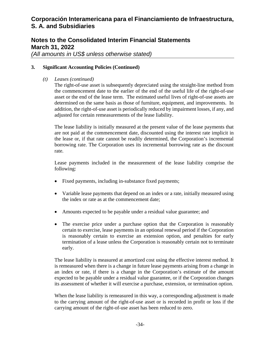# **Notes to the Consolidated Interim Financial Statements March 31, 2022**

*(All amounts in US\$ unless otherwise stated)* 

### **3. Significant Accounting Policies (Continued)**

*(t) Leases (continued)* 

The right-of-use asset is subsequently depreciated using the straight-line method from the commencement date to the earlier of the end of the useful life of the right-of-use asset or the end of the lease term. The estimated useful lives of right-of-use assets are determined on the same basis as those of furniture, equipment, and improvements. In addition, the right-of-use asset is periodically reduced by impairment losses, if any, and adjusted for certain remeasurements of the lease liability.

The lease liability is initially measured at the present value of the lease payments that are not paid at the commencement date, discounted using the interest rate implicit in the lease or, if that rate cannot be readily determined, the Corporation's incremental borrowing rate. The Corporation uses its incremental borrowing rate as the discount rate.

Lease payments included in the measurement of the lease liability comprise the following:

- Fixed payments, including in-substance fixed payments;
- Variable lease payments that depend on an index or a rate, initially measured using the index or rate as at the commencement date;
- Amounts expected to be payable under a residual value guarantee; and
- The exercise price under a purchase option that the Corporation is reasonably certain to exercise, lease payments in an optional renewal period if the Corporation is reasonably certain to exercise an extension option, and penalties for early termination of a lease unless the Corporation is reasonably certain not to terminate early.

The lease liability is measured at amortized cost using the effective interest method. It is remeasured when there is a change in future lease payments arising from a change in an index or rate, if there is a change in the Corporation's estimate of the amount expected to be payable under a residual value guarantee, or if the Corporation changes its assessment of whether it will exercise a purchase, extension, or termination option.

When the lease liability is remeasured in this way, a corresponding adjustment is made to the carrying amount of the right-of-use asset or is recorded in profit or loss if the carrying amount of the right-of-use asset has been reduced to zero.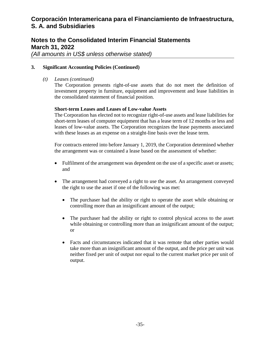# **Notes to the Consolidated Interim Financial Statements March 31, 2022**

*(All amounts in US\$ unless otherwise stated)* 

#### **3. Significant Accounting Policies (Continued)**

*(t) Leases (continued)* 

The Corporation presents right-of-use assets that do not meet the definition of investment property in furniture, equipment and improvement and lease liabilities in the consolidated statement of financial position.

#### **Short-term Leases and Leases of Low-value Assets**

The Corporation has elected not to recognize right-of-use assets and lease liabilities for short-term leases of computer equipment that has a lease term of 12 months or less and leases of low-value assets. The Corporation recognizes the lease payments associated with these leases as an expense on a straight-line basis over the lease term.

For contracts entered into before January 1, 2019, the Corporation determined whether the arrangement was or contained a lease based on the assessment of whether:

- Fulfilment of the arrangement was dependent on the use of a specific asset or assets; and
- The arrangement had conveyed a right to use the asset. An arrangement conveyed the right to use the asset if one of the following was met:
	- The purchaser had the ability or right to operate the asset while obtaining or controlling more than an insignificant amount of the output;
	- The purchaser had the ability or right to control physical access to the asset while obtaining or controlling more than an insignificant amount of the output; or
	- Facts and circumstances indicated that it was remote that other parties would take more than an insignificant amount of the output, and the price per unit was neither fixed per unit of output nor equal to the current market price per unit of output.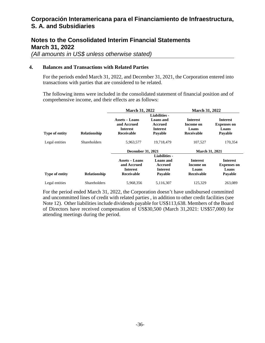### **Notes to the Consolidated Interim Financial Statements March 31, 2022**

*(All amounts in US\$ unless otherwise stated)* 

### **4. Balances and Transactions with Related Parties**

For the periods ended March 31, 2022, and December 31, 2021, the Corporation entered into transactions with parties that are considered to be related.

The following items were included in the consolidated statement of financial position and of comprehensive income, and their effects are as follows:

|                       |                     | <b>March 31, 2022</b>                                                        |                                                                            | <b>March 31, 2022</b>                                      |                                                           |
|-----------------------|---------------------|------------------------------------------------------------------------------|----------------------------------------------------------------------------|------------------------------------------------------------|-----------------------------------------------------------|
| Type of entity        | <b>Relationship</b> | <b>Assets – Loans</b><br>and Accrued<br><b>Interest</b><br><b>Receivable</b> | Liabilities -<br><b>Loans</b> and<br>Accrued<br><b>Interest</b><br>Payable | <b>Interest</b><br>Income on<br>Loans<br><b>Receivable</b> | <b>Interest</b><br><b>Expenses on</b><br>Loans<br>Payable |
| Legal entities        | <b>Shareholders</b> | 5,963,577                                                                    | 19,718,479                                                                 | 107.527                                                    | 170,354                                                   |
|                       |                     | <b>December 31, 2021</b>                                                     |                                                                            | <b>March 31, 2021</b>                                      |                                                           |
| <b>Type of entity</b> | <b>Relationship</b> | Assets – Loans<br>and Accrued<br><b>Interest</b><br>Receivable               | <b>Liabilities</b> -<br>Loans and<br>Accrued<br><b>Interest</b><br>Pavable | <b>Interest</b><br>Income on<br>Loans<br>Receivable        | <b>Interest</b><br><b>Expenses on</b><br>Loans<br>Payable |
| Legal entities        | <b>Shareholders</b> | 5.968.356                                                                    | 5,116,307                                                                  | 125.329                                                    | 263,089                                                   |

For the period ended March 31, 2022, the Corporation doesn't have undisbursed committed and uncommitted lines of credit with related parties , in addition to other credit facilities (see Note 12). Other liabilities include dividends payable for US\$113,638. Members of the Board of Directors have received compensation of US\$30,500 (March 31,2021: US\$57,000) for attending meetings during the period.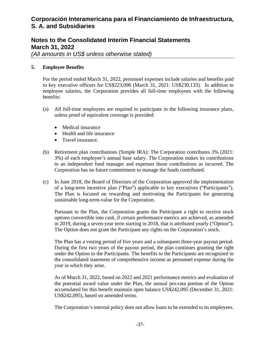# **Notes to the Consolidated Interim Financial Statements March 31, 2022**

*(All amounts in US\$ unless otherwise stated)* 

### **5. Employee Benefits**

For the period ended March 31, 2022, personnel expenses include salaries and benefits paid to key executive officers for US\$223,096 (March 31, 2021: US\$230,133). In addition to employee salaries, the Corporation provides all full-time employees with the following benefits:

- (a) All full-time employees are required to participate in the following insurance plans, unless proof of equivalent coverage is provided:
	- Medical insurance
	- Health and life insurance
	- Travel insurance.
- (b) Retirement plan contributions (Simple IRA): The Corporation contributes 3% (2021: 3%) of each employee's annual base salary. The Corporation makes its contributions to an independent fund manager and expenses those contributions as incurred. The Corporation has no future commitment to manage the funds contributed.
- (c) In June 2018, the Board of Directors of the Corporation approved the implementation of a long-term incentive plan ("Plan") applicable to key executives ("Participants"). The Plan is focused on rewarding and motivating the Participants for generating sustainable long-term-value for the Corporation.

Pursuant to the Plan, the Corporation grants the Participant a right to receive stock options convertible into cash, if certain performance metrics are achieved, as amended in 2019, during a seven-year term starting in 2018, that is attributed yearly ("Option"). The Option does not grant the Participant any rights on the Corporation's stock.

The Plan has a vesting period of five years and a subsequent three-year payout period. During the first two years of the payout period, the plan continues granting the right under the Option to the Participants. The benefits to the Participants are recognized in the consolidated statement of comprehensive income as personnel expense during the year in which they arise.

As of March 31, 2022, based on 2022 and 2021 performance metrics and evaluation of the potential award value under the Plan, the annual pro-rata portion of the Option accumulated for this benefit maintain open balance US\$242,095 (December 31, 2021: US\$242,095), based on amended terms.

The Corporation's internal policy does not allow loans to be extended to its employees.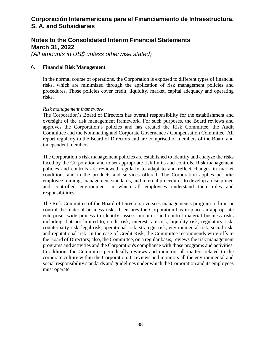# **Notes to the Consolidated Interim Financial Statements March 31, 2022**

*(All amounts in US\$ unless otherwise stated)* 

#### **6. Financial Risk Management**

In the normal course of operations, the Corporation is exposed to different types of financial risks, which are minimized through the application of risk management policies and procedures. Those policies cover credit, liquidity, market, capital adequacy and operating risks.

#### *Risk management framework*

The Corporation's Board of Directors has overall responsibility for the establishment and oversight of the risk management framework. For such purposes, the Board reviews and approves the Corporation's policies and has created the Risk Committee, the Audit Committee and the Nominating and Corporate Governance / Compensation Committee. All report regularly to the Board of Directors and are comprised of members of the Board and independent members.

The Corporation's risk management policies are established to identify and analyze the risks faced by the Corporation and to set appropriate risk limits and controls. Risk management policies and controls are reviewed regularly to adapt to and reflect changes in market conditions and in the products and services offered. The Corporation applies periodic employee training, management standards, and internal procedures to develop a disciplined and controlled environment in which all employees understand their roles and responsibilities.

The Risk Committee of the Board of Directors oversees management's program to limit or control the material business risks. It ensures the Corporation has in place an appropriate enterprise- wide process to identify, assess, monitor, and control material business risks including, but not limited to, credit risk, interest rate risk, liquidity risk, regulatory risk, counterparty risk, legal risk, operational risk, strategic risk, environmental risk, social risk, and reputational risk. In the case of Credit Risk, the Committee recommends write-offs to the Board of Directors; also, the Committee, on a regular basis, reviews the risk management programs and activities and the Corporation's compliance with those programs and activities. In addition, the Committee periodically reviews and monitors all matters related to the corporate culture within the Corporation. It reviews and monitors all the environmental and social responsibility standards and guidelines under which the Corporation and its employees must operate.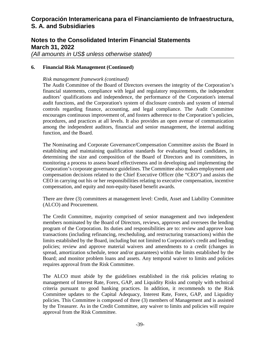# **Notes to the Consolidated Interim Financial Statements March 31, 2022**

*(All amounts in US\$ unless otherwise stated)* 

#### **6. Financial Risk Management (Continued)**

#### *Risk management framework (continued)*

The Audit Committee of the Board of Directors oversees the integrity of the Corporation's financial statements, compliance with legal and regulatory requirements, the independent auditors' qualifications and independence, the performance of the Corporation's internal audit functions, and the Corporation's system of disclosure controls and system of internal controls regarding finance, accounting, and legal compliance. The Audit Committee encourages continuous improvement of, and fosters adherence to the Corporation's policies, procedures, and practices at all levels. It also provides an open avenue of communication among the independent auditors, financial and senior management, the internal auditing function, and the Board.

The Nominating and Corporate Governance/Compensation Committee assists the Board in establishing and maintaining qualification standards for evaluating board candidates, in determining the size and composition of the Board of Directors and its committees, in monitoring a process to assess board effectiveness and in developing and implementing the Corporation's corporate governance guidelines. The Committee also makes employment and compensation decisions related to the Chief Executive Officer (the "CEO") and assists the CEO in carrying out his or her responsibilities relating to executive compensation, incentive compensation, and equity and non-equity-based benefit awards.

There are three (3) committees at management level: Credit, Asset and Liability Committee (ALCO) and Procurement.

The Credit Committee, majority comprised of senior management and two independent members nominated by the Board of Directors, reviews, approves and oversees the lending program of the Corporation. Its duties and responsibilities are to: review and approve loan transactions (including refinancing, rescheduling, and restructuring transactions) within the limits established by the Board, including but not limited to Corporation's credit and lending policies; review and approve material waivers and amendments to a credit (changes in spread, amortization schedule, tenor and/or guarantees) within the limits established by the Board; and monitor problem loans and assets. Any temporal waiver to limits and policies requires approval from the Risk Committee.

The ALCO must abide by the guidelines established in the risk policies relating to management of Interest Rate, Forex, GAP, and Liquidity Risks and comply with technical criteria pursuant to good banking practices. In addition, it recommends to the Risk Committee updates to the Capital Adequacy, Interest Rate, Forex, GAP, and Liquidity policies. This Committee is composed of three (3) members of Management and is assisted by the Treasurer. As in the Credit Committee, any waiver to limits and policies will require approval from the Risk Committee.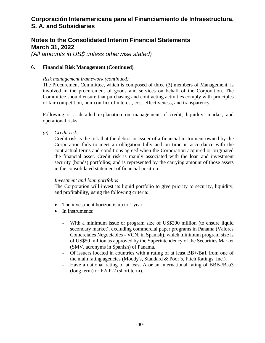## **Notes to the Consolidated Interim Financial Statements March 31, 2022**

*(All amounts in US\$ unless otherwise stated)* 

#### **6. Financial Risk Management (Continued)**

#### *Risk management framework (continued)*

The Procurement Committee, which is composed of three (3) members of Management, is involved in the procurement of goods and services on behalf of the Corporation. The Committee should ensure that purchasing and contracting activities comply with principles of fair competition, non-conflict of interest, cost-effectiveness, and transparency.

Following is a detailed explanation on management of credit, liquidity, market, and operational risks:

*(a) Credit risk* 

Credit risk is the risk that the debtor or issuer of a financial instrument owned by the Corporation fails to meet an obligation fully and on time in accordance with the contractual terms and conditions agreed when the Corporation acquired or originated the financial asset. Credit risk is mainly associated with the loan and investment security (bonds) portfolios; and is represented by the carrying amount of those assets in the consolidated statement of financial position.

#### *Investment and loan portfolios*

The Corporation will invest its liquid portfolio to give priority to security, liquidity, and profitability, using the following criteria:

- The investment horizon is up to 1 year.
- In instruments:
	- With a minimum issue or program size of US\$200 million (to ensure liquid secondary market), excluding commercial paper programs in Panama (Valores Comerciales Negociables - VCN, in Spanish), which minimum program size is of US\$50 million as approved by the Superintendency of the Securities Market (SMV, acronyms in Spanish) of Panama.
	- Of issuers located in countries with a rating of at least BB+/Ba1 from one of the main rating agencies (Moody's, Standard & Poor's, Fitch Ratings, Inc.).
	- Have a national rating of at least A or an international rating of BBB-/Baa3 (long term) or F2/ P-2 (short term).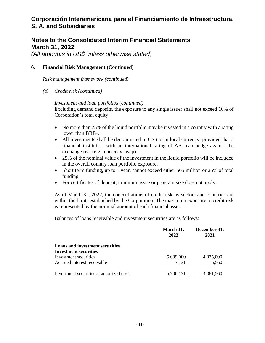## **Notes to the Consolidated Interim Financial Statements March 31, 2022**

*(All amounts in US\$ unless otherwise stated)* 

#### **6. Financial Risk Management (Continued)**

*Risk management framework (continued)* 

*(a) Credit risk (continued)* 

#### *Investment and loan portfolios (continued)*

Excluding demand deposits, the exposure to any single issuer shall not exceed 10% of Corporation's total equity

- No more than 25% of the liquid portfolio may be invested in a country with a rating lower than BBB-.
- All investments shall be denominated in US\$ or in local currency, provided that a financial institution with an international rating of AA- can hedge against the exchange risk (e.g., currency swap).
- 25% of the nominal value of the investment in the liquid portfolio will be included in the overall country loan portfolio exposure.
- Short term funding, up to 1 year, cannot exceed either \$65 million or 25% of total funding.
- For certificates of deposit, minimum issue or program size does not apply.

As of March 31, 2022, the concentrations of credit risk by sectors and countries are within the limits established by the Corporation. The maximum exposure to credit risk is represented by the nominal amount of each financial asset.

Balances of loans receivable and investment securities are as follows:

|                                         | March 31,<br>2022 | December 31,<br>2021 |  |
|-----------------------------------------|-------------------|----------------------|--|
| <b>Loans and investment securities</b>  |                   |                      |  |
| <b>Investment securities</b>            |                   |                      |  |
| Investment securities                   | 5,699,000         | 4,075,000            |  |
| Accrued interest receivable             | 7,131             | 6,560                |  |
| Investment securities at amortized cost | 5,706,131         | 4,081,560            |  |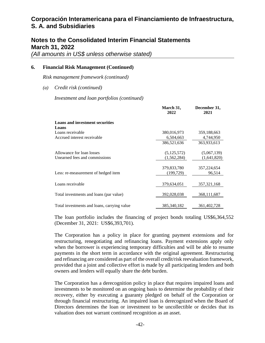### **Notes to the Consolidated Interim Financial Statements March 31, 2022**

*(All amounts in US\$ unless otherwise stated)* 

#### **6. Financial Risk Management (Continued)**

*Risk management framework (continued)* 

*(a) Credit risk (continued)* 

*Investment and loan portfolios (continued)* 

|                                             | March 31,<br>2022 | December 31,<br>2021 |
|---------------------------------------------|-------------------|----------------------|
| <b>Loans and investment securities</b>      |                   |                      |
| Loans                                       |                   |                      |
| Loans receivable                            | 380,016,973       | 359,188,663          |
| Accrued interest receivable                 | 6,504,663         | 4,744,950            |
|                                             | 386,521,636       | 363,933,613          |
| Allowance for loan losses                   | (5, 125, 572)     | (5,067,139)          |
| Unearned fees and commissions               | (1,562,284)       | (1,641,820)          |
|                                             | 379,833,780       | 357,224,654          |
| Less: re-measurement of hedged item         | (199,729)         | 96,514               |
| Loans receivable                            | 379,634,051       | 357, 321, 168        |
|                                             |                   |                      |
| Total investments and loans (par value)     | 392,028,038       | 368, 111, 687        |
|                                             |                   |                      |
| Total investments and loans, carrying value | 385, 340, 182     | 361,402,728          |

The loan portfolio includes the financing of project bonds totaling US\$6,364,552 (December 31, 2021: US\$6,393,701).

The Corporation has a policy in place for granting payment extensions and for restructuring, renegotiating and refinancing loans. Payment extensions apply only when the borrower is experiencing temporary difficulties and will be able to resume payments in the short term in accordance with the original agreement. Restructuring and refinancing are considered as part of the overall credit/risk reevaluation framework, provided that a joint and collective effort is made by all participating lenders and both owners and lenders will equally share the debt burden.

The Corporation has a derecognition policy in place that requires impaired loans and investments to be monitored on an ongoing basis to determine the probability of their recovery, either by executing a guaranty pledged on behalf of the Corporation or through financial restructuring. An impaired loan is derecognized when the Board of Directors determines the loan or investment to be uncollectible or decides that its valuation does not warrant continued recognition as an asset.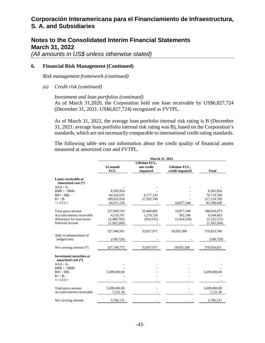### **Notes to the Consolidated Interim Financial Statements March 31, 2022**

*(All amounts in US\$ unless otherwise stated)* 

#### **6. Financial Risk Management (Continued)**

*Risk management framework (continued)* 

*(a) Credit risk (continued)* 

#### *Investment and loan portfolios (continued)*

As of March 31,2020, the Corporation held one loan receivable by US\$6,827,724 (December 31, 2021: US\$6,827,724) recognized as FVTPL.

As of March 31, 2022, the average loan portfolio internal risk rating is B (December 31, 2021: average loan portfolio internal risk rating was B), based on the Corporation's standards, which are not necessarily comparable to international credit rating standards.

The following table sets out information about the credit quality of financial assets measured at amortized cost and FVTPL.

|                                                       | <b>March 31, 2022</b>  |                                         |                                  |               |  |
|-------------------------------------------------------|------------------------|-----------------------------------------|----------------------------------|---------------|--|
|                                                       | 12-month<br><b>ECL</b> | Lifetime ECL,<br>not credit<br>impaired | Lifetime ECL,<br>credit impaired | <b>Total</b>  |  |
| Loans receivable at<br>Amortized cost (*)             |                        |                                         |                                  |               |  |
| $AAA / A$ -                                           |                        |                                         |                                  |               |  |
| $BBB + / BBB -$                                       | 8,383,954              |                                         |                                  | 8,383,954     |  |
| $BB+$ / $BB-$                                         | 64, 542, 635           | 6,177,133                               |                                  | 70,719,768    |  |
| $B+ / B-$                                             | 189,832,034            | 27,292,749                              |                                  | 217, 124, 783 |  |
| $\leq$ CCC+                                           | 64,911,120             |                                         | 18,877,348                       | 83,788,468    |  |
| Total gross amount                                    | 327,669,743            | 33,469,882                              | 18,877,348                       | 380,016,973   |  |
| Accrued interest receivable                           | 4,233,747              | 1,278,720                               | 992,196                          | 6,504,663     |  |
| Allowance for loan losses                             | (2,400,705)            | (910, 631)                              | (1,814,236)                      | (5, 125, 572) |  |
| Deferred income                                       | (1, 562, 284)          |                                         |                                  | (1,562,284)   |  |
|                                                       | 327,940,501            | 33,837,971                              | 18,055,308                       | 379,833,780   |  |
| Add: re-measurement of<br>hedged item                 | (199, 729)             |                                         |                                  | (199, 729)    |  |
| Net carrying amount (*)                               | 327,740,772            | 33,837,971                              | 18,055,308                       | 379,634,051   |  |
| <b>Investment securities at</b><br>amortized cost (*) |                        |                                         |                                  |               |  |
| $AAA / A$ -                                           |                        |                                         |                                  |               |  |
| $BBB + / BBB -$                                       |                        |                                         |                                  |               |  |
| $BB+$ / $BB-$                                         | 5,699,000.00           |                                         |                                  | 5,699,000.00  |  |
| $B+ / B-$                                             |                        |                                         |                                  |               |  |
| $\epsilon =$ CCC+                                     |                        |                                         |                                  |               |  |
| Total gross amount                                    | 5,699,000.00           |                                         |                                  | 5,699,000.00  |  |
| Accrued interest receivable                           | 7,131.30               |                                         |                                  | 7,131.30      |  |
| Net carrying amount                                   | 5,706,131              |                                         |                                  | 5,706,131     |  |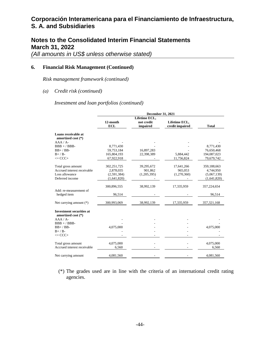## **Notes to the Consolidated Interim Financial Statements March 31, 2022**

*(All amounts in US\$ unless otherwise stated)* 

#### **6. Financial Risk Management (Continued)**

*Risk management framework (continued)* 

#### *(a) Credit risk (continued)*

*Investment and loan portfolios (continued)* 

|                                                       | <b>December 31, 2021</b>  |                                         |                                  |                           |  |
|-------------------------------------------------------|---------------------------|-----------------------------------------|----------------------------------|---------------------------|--|
|                                                       | 12-month<br><b>ECL</b>    | Lifetime ECL,<br>not credit<br>impaired | Lifetime ECL,<br>credit impaired | <b>Total</b>              |  |
| Loans receivable at<br>amortized cost (*)             |                           |                                         |                                  |                           |  |
| $AAA/A-$                                              |                           |                                         |                                  |                           |  |
| $BBB + / BBB -$                                       | 8,771,430                 |                                         |                                  | 8,771,430                 |  |
| $BB+$ / $BB-$                                         | 59,753,184                | 16,897,283                              |                                  | 76,650,468                |  |
| $B+ / B-$<br>$\leq$ CCC+                              | 165,804,193<br>67,922,918 | 22,398,389                              | 5,884,442<br>11,756,824          | 194,087,023<br>79,679,742 |  |
| Total gross amount                                    | 302,251,725               | 39,295,672                              | 17,641,266                       | 359,188,663               |  |
| Accrued interest receivable                           | 2,878,035                 | 901,862                                 | 965,053                          | 4,744,950                 |  |
| Loss allowance                                        | (2,591,384)               | (1,205,395)                             | (1,270,360)                      | (5,067,139)               |  |
| Deferred income                                       | (1,641,820)               |                                         |                                  | (1,641,820)               |  |
|                                                       | 300,896,555               | 38,992,139                              | 17,335,959                       | 357,224,654               |  |
| Add: re-measurement of<br>hedged item                 | 96,514                    |                                         |                                  | 96,514                    |  |
| Net carrying amount (*)                               | 300,993,069               | 38,992,139                              | 17,335,959                       | 357,321,168               |  |
| <b>Investment securities at</b><br>amortized cost (*) |                           |                                         |                                  |                           |  |
| $AAA/A-$                                              |                           |                                         |                                  |                           |  |
| $BBB + / BBB -$                                       |                           |                                         |                                  |                           |  |
| $BB+$ / $BB-$                                         | 4,075,000                 |                                         |                                  | 4,075,000                 |  |
| $B+ / B-$                                             |                           |                                         |                                  |                           |  |
| $\epsilon =$ CCC+                                     |                           |                                         |                                  |                           |  |
| Total gross amount                                    | 4,075,000                 |                                         |                                  | 4,075,000                 |  |
| Accrued interest receivable                           | 6,560                     |                                         |                                  | 6,560                     |  |
| Net carrying amount                                   | 4,081,560                 |                                         |                                  | 4,081,560                 |  |

(\*) The grades used are in line with the criteria of an international credit rating agencies.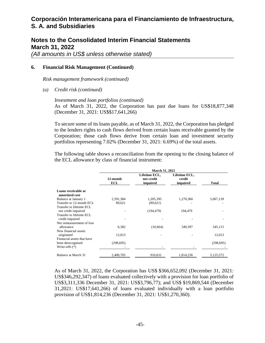## **Notes to the Consolidated Interim Financial Statements March 31, 2022**

*(All amounts in US\$ unless otherwise stated)* 

#### **6. Financial Risk Management (Continued)**

*Risk management framework (continued)* 

*(a) Credit risk (continued)* 

#### *Investment and loan portfolios (continued)*

As of March 31, 2022, the Corporation has past due loans for US\$18,877,348 (December 31, 2021: US\$\$17,641,266)

To secure some of its loans payable, as of March 31, 2022, the Corporation has pledged to the lenders rights to cash flows derived from certain loans receivable granted by the Corporation; those cash flows derive from certain loan and investment security portfolios representing 7.02% (December 31, 2021: 6.69%) of the total assets.

The following table shows a reconciliation from the opening to the closing balance of the ECL allowance by class of financial instrument:

|                                                 | <b>March 31, 2022</b>  |                                         |                                     |            |  |
|-------------------------------------------------|------------------------|-----------------------------------------|-------------------------------------|------------|--|
|                                                 | 12-month<br><b>ECL</b> | Lifetime ECL,<br>not credit<br>impaired | Lifetime ECL,<br>credit<br>impaired | Total      |  |
| Loans receivable at<br>amortized cost           |                        |                                         |                                     |            |  |
| Balance at January 1                            | 2,591,384              | 1,205,395                               | 1,270,360                           | 5,067,139  |  |
| Transfer to 12-month ECL                        | 89,621                 | (89,621)                                |                                     |            |  |
| Transfer to lifetime ECL<br>not credit impaired |                        | (194, 479)                              | 194,479                             |            |  |
| Transfer to lifetime ECL<br>credit impaired     |                        |                                         |                                     |            |  |
| Net remeasurement of loss<br>allowance          | 6,382                  | (10,664)                                | 349,397                             | 345,115    |  |
| New financial assets<br>originated              | 12,013                 |                                         |                                     | 12,013     |  |
| Financial assets that have                      |                        |                                         |                                     |            |  |
| been derecognised<br>Write-offs $(*)$           | (298, 695)             |                                         |                                     | (298, 695) |  |
| Balance at March 31                             | 2,400,705              | 910,631                                 | 1,814,236                           | 5,125,572  |  |

As of March 31, 2022, the Corporation has US\$ \$366,652,092 (December 31, 2021: US\$346,292,347) of loans evaluated collectively with a provision for loan portfolio of US\$3,311,336 December 31, 2021: US\$3,796,77); and US\$ \$19,869,544 (December 31,2021: US\$17,641,266) of loans evaluated individually with a loan portfolio provision of US\$1,814,236 (December 31, 2021: US\$1,270,360).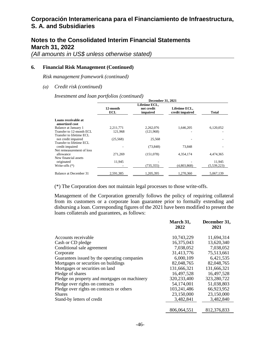## **Notes to the Consolidated Interim Financial Statements March 31, 2022**

*(All amounts in US\$ unless otherwise stated)* 

#### **6. Financial Risk Management (Continued)**

*Risk management framework (continued)* 

*(a) Credit risk (continued)* 

*Investment and loan portfolios (continued)* 

|                                       | <b>December 31, 2021</b> |                        |                                  |              |  |  |
|---------------------------------------|--------------------------|------------------------|----------------------------------|--------------|--|--|
|                                       | Lifetime ECL,            |                        |                                  |              |  |  |
|                                       | 12-month<br>ECL          | not credit<br>impaired | Lifetime ECL,<br>credit impaired | <b>Total</b> |  |  |
| Loans receivable at<br>amortized cost |                          |                        |                                  |              |  |  |
| Balance at January 1                  | 2,211,771                | 2,262,076              | 1,646,205                        | 6,120,052    |  |  |
| Transfer to 12-month ECL              | 121,968                  | (121,968)              |                                  |              |  |  |
| Transfer to lifetime ECL              |                          |                        |                                  |              |  |  |
| not credit impaired                   | (25, 568)                | 25,568                 |                                  |              |  |  |
| Transfer to lifetime ECL              |                          |                        |                                  |              |  |  |
| credit impaired                       |                          | (73, 848)              | 73.848                           |              |  |  |
| Net remeasurement of loss             |                          |                        |                                  |              |  |  |
| allowance                             | 271,269                  | (151,078)              | 4.354.174                        | 4,474,365    |  |  |
| New financial assets                  |                          |                        |                                  |              |  |  |
| originated                            | 11,945                   |                        |                                  | 11,945       |  |  |
| Write-offs $(*)$                      |                          | (735, 355)             | (4,803,868)                      | (5,539,223)  |  |  |
| Balance at December 31                | 2,591,385                | 1,205,395              | 1,270,360                        | 5,067,139    |  |  |

(\*) The Corporation does not maintain legal processes to those write-offs.

Management of the Corporation generally follows the policy of requiring collateral from its customers or a corporate loan guarantee prior to formally extending and disbursing a loan. Corresponding figures of the 2021 have been modified to present the loans collaterals and guarantees, as follows:

|                                               | March 31,<br>2022 | December 31,<br>2021 |
|-----------------------------------------------|-------------------|----------------------|
| Accounts receivable                           | 10,743,229        | 11,694,314           |
| Cash or CD pledge                             | 16,375,043        | 13,620,340           |
| Conditional sale agreement                    | 7,038,052         | 7,038,052            |
| Corporate                                     | 31,413,776        | 75,513,661           |
| Guarantees issued by the operating companies  | 6,000,109         | 6,421,535            |
| Mortgages or securities on buildings          | 82,048,765        | 82,048,765           |
| Mortgages or securities on land               | 131,666,321       | 131,666,321          |
| Pledge of shares                              | 16,497,528        | 16,497,528           |
| Pledge on property and mortgages on machinery | 320,233,400       | 323,280,722          |
| Pledge over rights on contracts               | 54,174,001        | 51,038,803           |
| Pledge over rights on contracts or others     | 103,241,486       | 66,923,952           |
| <b>Shares</b>                                 | 23,150,000        | 23,150,000           |
| Stand-by letters of credit                    | 3,482,841         | 3,482,840            |
|                                               | 806,064,551       | 812,376,833          |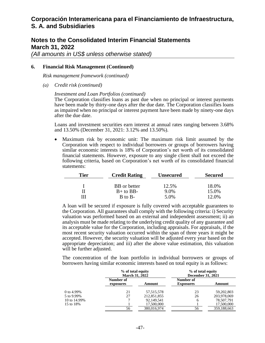### **Notes to the Consolidated Interim Financial Statements March 31, 2022**

*(All amounts in US\$ unless otherwise stated)*

#### **6. Financial Risk Management (Continued)**

*Risk management framework (continued)*

*(a) Credit risk (continued)*

#### *Investment and Loan Portfolios (continued)*

The Corporation classifies loans as past due when no principal or interest payments have been made by thirty-one days after the due date. The Corporation classifies loans as impaired when no principal or interest payment have been made by ninety-one days after the due date.

Loans and investment securities earn interest at annual rates ranging between 3.68% and 13.50% (December 31, 2021: 3.12% and 13.50%).

• Maximum risk by economic unit: The maximum risk limit assumed by the Corporation with respect to individual borrowers or groups of borrowers having similar economic interests is 18% of Corporation's net worth of its consolidated financial statements. However, exposure to any single client shall not exceed the following criteria, based on Corporation's net worth of its consolidated financial statements:

| Tier | <b>Credit Rating</b> |         | <b>Secured</b> |  |
|------|----------------------|---------|----------------|--|
|      |                      |         |                |  |
|      | BB or better         | 12.5%   | 18.0%          |  |
|      | $B+$ to BB-          | $9.0\%$ | 15.0%          |  |
|      | $B$ to $B-$          | 5.0%    | 12.0%          |  |

A loan will be secured if exposure is fully covered with acceptable guarantees to the Corporation. All guarantees shall comply with the following criteria: i) Security valuation was performed based on an external and independent assessment; ii) an analysis must be made relating to the underlying credit quality of any guarantee and its acceptable value for the Corporation, including appraisals. For appraisals, if the most recent security valuation occurred within the span of three years it might be accepted. However, the security valuation will be adjusted every year based on the appropriate depreciation; and iii) after the above value estimation, this valuation will be further adjusted.

The concentration of the loan portfolio in individual borrowers or groups of borrowers having similar economic interests based on total equity is as follows:

|               |                        | % of total equity<br><b>March 31, 2022</b> |                               | % of total equity<br><b>December 31, 2021</b> |  |  |
|---------------|------------------------|--------------------------------------------|-------------------------------|-----------------------------------------------|--|--|
|               | Number of<br>exposures | Amount                                     | Number of<br><b>Exposures</b> | Amount                                        |  |  |
| 0 to $4.99\%$ | 21                     | 57, 515, 578                               | 23                            | 59,202,803                                    |  |  |
| 5 to 9.99%    | 27                     | 212,851,855                                | 26                            | 203,978,069                                   |  |  |
| 10 to 14.99%  |                        | 92,149,541                                 | 6                             | 78,507,791                                    |  |  |
| 15 to 18%     |                        | 17,500,000                                 |                               | 17,500,000                                    |  |  |
|               | 56                     | 380,016,974                                | 56                            | 359,188,663                                   |  |  |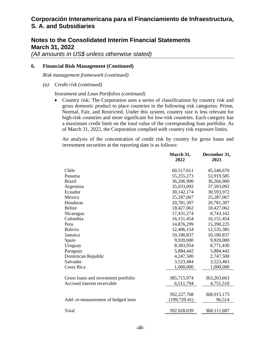## **Notes to the Consolidated Interim Financial Statements March 31, 2022**

*(All amounts in US\$ unless otherwise stated)* 

#### **6. Financial Risk Management (Continued)**

*Risk management framework (continued)* 

*(a) Credit risk (continued)* 

#### *Investment and Loan Portfolios (continued)*

• Country risk: The Corporation uses a series of classifications by country risk and gross domestic product to place countries in the following risk categories: Prime, Normal, Fair, and Restricted. Under this system, country size is less relevant for high-risk countries and more significant for low-risk countries. Each category has a maximum credit limit on the total value of the corresponding loan portfolio. As of March 31, 2022, the Corporation complied with country risk exposure limits.

An analysis of the concentration of credit risk by country for gross loans and investment securities at the reporting date is as follows:

|                                      | March 31,     | December 31, |
|--------------------------------------|---------------|--------------|
|                                      | 2022          | 2021         |
| Chile                                | 60,517,611    | 45,546,670   |
| Panama                               | 55,255,273    | 53,919,585   |
| <b>Brazil</b>                        | 36,266,900    | 36,266,900   |
| Argentina                            | 35,033,092    | 37,593,092   |
| Ecuador                              | 30,142,174    | 30,593,972   |
| Mexico                               | 25,287,067    | 25,287,067   |
| Honduras                             | 20,781,397    | 20,781,397   |
| <b>Belize</b>                        | 18,427,062    | 18,427,062   |
| Nicaragua                            | 17,431,274    | 8,743,162    |
| Colombia                             | 16,151,454    | 16,151,454   |
| Peru                                 | 14,876,299    | 15,390,225   |
| Bolivia                              | 12,406,154    | 12,535,385   |
| Jamaica                              | 10,180,837    | 10,180,837   |
| Spain                                | 9,920,000     | 9,920,000    |
| Uruguay                              | 8,383,954     | 8,771,430    |
| Paraguay                             | 5,884,442     | 5,884,442    |
| Dominican Republic                   | 4,247,500     | 2,747,500    |
| Salvador                             | 3,523,484     | 3,523,483    |
| Costa Rica                           | 1,000,000     | 1,000,000    |
|                                      |               |              |
| Gross loans and investment portfolio | 385,715,974   | 363,263,663  |
| Accrued interest receivable          | 6,511,794     | 4,751,510    |
|                                      |               |              |
|                                      | 392,227,768   | 368,015,173  |
| Add: re-measurement of hedged item   | (199, 729.41) | 96,514       |
| Total                                | 392,028,039   | 368,111,687  |
|                                      |               |              |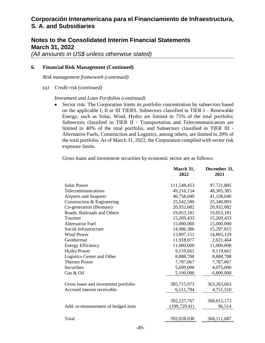## **Notes to the Consolidated Interim Financial Statements March 31, 2022**

*(All amounts in US\$ unless otherwise stated)* 

#### **6. Financial Risk Management (Continued)**

*Risk management framework (continued)* 

*(a) Credit risk (continued)* 

#### *Investment and Loan Portfolios (continued)*

• Sector risk: The Corporation limits its portfolio concentration by subsectors based on the applicable I, II or III TIERS. Subsectors classified in TIER I – Renewable Energy, such as Solar, Wind, Hydro are limited to 75% of the total portfolio; Subsectors classified in TIER II - Transportation and Telecommunication are limited to 40% of the total portfolio, and Subsectors classified in TIER III - Alternative Fuels, Construction and Logistics, among others, are limited to 20% of the total portfolio. As of March 31, 2022, the Corporation complied with sector risk exposure limits.

Gross loans and investment securities by economic sector are as follows:

|                                      | March 31,<br>2022 | December 31,<br>2021 |
|--------------------------------------|-------------------|----------------------|
| <b>Solar Power</b>                   | 111,548,453       | 97,721,805           |
| <b>Telecommunications</b>            | 49,216,154        | 48, 305, 385         |
| <b>Airports and Seaports</b>         | 40,758,040        | 41,158,040           |
| Construction & Engineering           | 25,542,580        | 25,340,893           |
| Co-generation (Biomass)              | 20,932,082        | 20,932,082           |
| Roads, Railroads and Others          | 19,053,181        | 19,053,181           |
| Tourism                              | 15,269,433        | 15,269,433           |
| <b>Alternative Fuel</b>              | 15,000,000        | 15,000,000           |
| Social Infrastructure                | 14,986,386        | 15,297,815           |
| <b>Wind Power</b>                    | 13,897,151        | 14,893,129           |
| Geothermal                           | 11,918,077        | 2,621,464            |
| <b>Energy Efficiency</b>             | 11,000,000        | 11,000,000           |
| <b>Hydro Power</b>                   | 9,119,661         | 9,119,661            |
| Logistics Center and Other           | 8,888,708         | 8,888,708            |
| <b>Thermo Power</b>                  | 7,787,067         | 7,787,067            |
| Securities                           | 5,699,000         | 4,075,000            |
| Gas & Oil                            | 5,100,000         | 6,800,000            |
| Gross loans and investment portfolio | 385,715,973       | 363,263,663          |
| Accrued interest receivable          | 6,511,794         | 4,751,510            |
|                                      | 392,227,767       | 368,015,173          |
| Add: re-measurement of hedged item   | (199, 729.41)     | 96,514               |
|                                      |                   |                      |
| Total                                | 392,028,038       | 368,111,687          |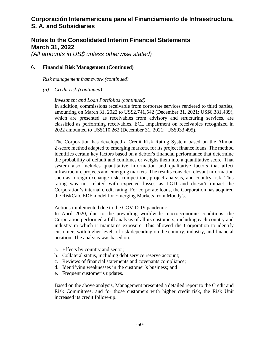## **Notes to the Consolidated Interim Financial Statements March 31, 2022**

*(All amounts in US\$ unless otherwise stated)* 

#### **6. Financial Risk Management (Continued)**

*Risk management framework (continued)* 

*(a) Credit risk (continued)* 

#### *Investment and Loan Portfolios (continued)*

In addition, commissions receivable from corporate services rendered to third parties, amounting on March 31, 2022 to US\$2,741,542 (December 31, 2021: US\$6,381,439), which are presented as receivables from advisory and structuring services, are classified as performing receivables. ECL impairment on receivables recognized in 2022 amounted to US\$110,262 (December 31, 2021: US\$933,495).

The Corporation has developed a Credit Risk Rating System based on the Altman Z-score method adapted to emerging markets, for its project finance loans. The method identifies certain key factors based on a debtor's financial performance that determine the probability of default and combines or weighs them into a quantitative score. That system also includes quantitative information and qualitative factors that affect infrastructure projects and emerging markets. The results consider relevant information such as foreign exchange risk, competition, project analysis, and country risk. This rating was not related with expected losses as LGD and doesn't impact the Corporation's internal credit rating. For corporate loans, the Corporation has acquired the RiskCalc EDF model for Emerging Markets from Moody's.

#### Actions implemented due to the COVID-19 pandemic

In April 2020, due to the prevailing worldwide macroeconomic conditions, the Corporation performed a full analysis of all its customers, including each country and industry in which it maintains exposure. This allowed the Corporation to identify customers with higher levels of risk depending on the country, industry, and financial position. The analysis was based on:

- a. Effects by country and sector;
- b. Collateral status, including debt service reserve account;
- c. Reviews of financial statements and covenants compliance;
- d. Identifying weaknesses in the customer´s business; and
- e. Frequent customer's updates.

Based on the above analysis, Management presented a detailed report to the Credit and Risk Committees, and for those customers with higher credit risk, the Risk Unit increased its credit follow-up.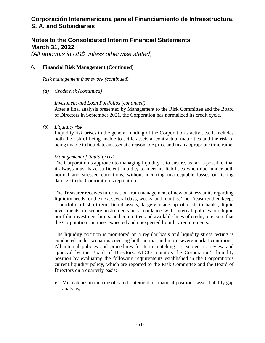## **Notes to the Consolidated Interim Financial Statements March 31, 2022**

*(All amounts in US\$ unless otherwise stated)* 

#### **6. Financial Risk Management (Continued)**

*Risk management framework (continued)* 

*(a) Credit risk (continued)* 

#### *Investment and Loan Portfolios (continued)*

After a final analysis presented by Management to the Risk Committee and the Board of Directors in September 2021, the Corporation has normalized its credit cycle.

*(b) Liquidity risk* 

Liquidity risk arises in the general funding of the Corporation's activities. It includes both the risk of being unable to settle assets at contractual maturities and the risk of being unable to liquidate an asset at a reasonable price and in an appropriate timeframe.

#### *Management of liquidity risk*

The Corporation's approach to managing liquidity is to ensure, as far as possible, that it always must have sufficient liquidity to meet its liabilities when due, under both normal and stressed conditions, without incurring unacceptable losses or risking damage to the Corporation's reputation.

The Treasurer receives information from management of new business units regarding liquidity needs for the next several days, weeks, and months. The Treasurer then keeps a portfolio of short-term liquid assets, largely made up of cash in banks, liquid investments in secure instruments in accordance with internal policies on liquid portfolio investment limits, and committed and available lines of credit, to ensure that the Corporation can meet expected and unexpected liquidity requirements.

The liquidity position is monitored on a regular basis and liquidity stress testing is conducted under scenarios covering both normal and more severe market conditions. All internal policies and procedures for term matching are subject to review and approval by the Board of Directors. ALCO monitors the Corporation's liquidity position by evaluating the following requirements established in the Corporation's current liquidity policy, which are reported to the Risk Committee and the Board of Directors on a quarterly basis:

 Mismatches in the consolidated statement of financial position - asset-liability gap analysis;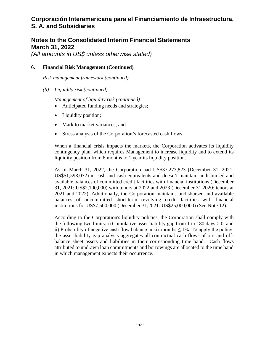## **Notes to the Consolidated Interim Financial Statements March 31, 2022**

*(All amounts in US\$ unless otherwise stated)* 

#### **6. Financial Risk Management (Continued)**

*Risk management framework (continued)* 

*(b) Liquidity risk (continued)* 

*Management of liquidity risk (continued)* 

- Anticipated funding needs and strategies;
- Liquidity position;
- Mark to market variances; and
- Stress analysis of the Corporation's forecasted cash flows.

When a financial crisis impacts the markets, the Corporation activates its liquidity contingency plan, which requires Management to increase liquidity and to extend its liquidity position from 6 months to 1 year its liquidity position.

As of March 31, 2022, the Corporation had US\$37,273,823 (December 31, 2021: US\$51,598,072) in cash and cash equivalents and doesn't maintain undisbursed and available balances of committed credit facilities with financial institutions (December 31, 2021: US\$2,100,000) with tenors at 2022 and 2023 (December 31,2020: tenors at 2021 and 2022). Additionally, the Corporation maintains undisbursed and available balances of uncommitted short-term revolving credit facilities with financial institutions for US\$7,500,000 (December 31,2021: US\$25,000,000) (See Note 12).

According to the Corporation's liquidity policies, the Corporation shall comply with the following two limits: i) Cumulative asset-liability gap from 1 to 180 days  $> 0$ , and ii) Probability of negative cash flow balance in six months  $\leq 1\%$ . To apply the policy, the asset-liability gap analysis aggregates all contractual cash flows of on- and offbalance sheet assets and liabilities in their corresponding time band. Cash flows attributed to undrawn loan commitments and borrowings are allocated to the time band in which management expects their occurrence.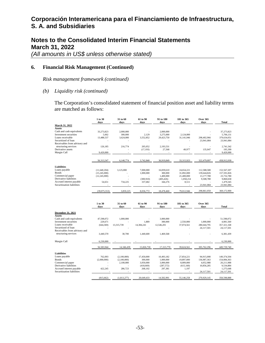## **Notes to the Consolidated Interim Financial Statements March 31, 2022**

*(All amounts in US\$ unless otherwise stated)* 

#### **6. Financial Risk Management (Continued)**

*Risk management framework (continued)* 

#### *(b) Liquidity risk (continued)*

The Corporation's consolidated statement of financial position asset and liability terms are matched as follows:

|                               | 1 to 30<br>days | 31 to 60<br>days | 61 to 90<br>days | 91 to 180<br>days | 181 to 365<br>days | <b>Over 365</b><br>days | Total       |
|-------------------------------|-----------------|------------------|------------------|-------------------|--------------------|-------------------------|-------------|
| March 31, 2022                |                 |                  |                  |                   |                    |                         |             |
| Assets                        |                 |                  |                  |                   |                    |                         |             |
| Cash and cash equivalents     | 33,273,823      | 2,000,000        |                  | 2,000,000         |                    |                         | 37,273,823  |
| Investment securities         | 5,002           | 300,000          | 2,129            | 3,275,000         | 2,124,000          |                         | 5,706,131   |
| Loans receivable              | 13,488,537      | 3,624,000        | 3,552,852        | 29,423,750        | 31,141,946         | 298,402,966             | 379,634,051 |
| Securitized of loan           |                 |                  |                  |                   |                    | 23,941,084              | 23,941,084  |
| Receivables from advisory and |                 |                  |                  |                   |                    |                         |             |
| structuring services          | 126,185         | 216,774          | 205,052          | 2,193,531         |                    |                         | 2,741,542   |
| Derivative assets             |                 |                  | (17, 193)        | 27,568            | 49,977             | 135,047                 | 195,399     |
| Margin Call                   | 9,420,000       |                  |                  |                   |                    |                         | 9,420,000   |
|                               |                 |                  |                  |                   |                    |                         |             |
|                               | 56,313,547      | 6,140,774        | 3,742,840        | 36,919,849        | 33,315,923         | 322,479,097             | 458,912,030 |
| <b>Liabilities</b>            |                 |                  |                  |                   |                    |                         |             |
| Loans payable                 | (11,640,204)    | 3,125,000        | 7,000,000        | 16,839,610        | 24,654,221         | 112,588,580             | 152,567,207 |
| <b>Bonds</b>                  | (15,245,000)    |                  | 1,000,000        | 300,000           | 31,892,000         | 139,644,826             | 157,591,826 |
| Commercial paper              | (12, 245, 000)  |                  |                  | 1,400,000         | 21,400,000         | 13,177,780              | 23,732,780  |
| Derivative liabilities        |                 |                  | (300, 910)       | (405, 426)        | 1,058,214          | 9,508,780               | 9,860,658   |
| Accrued interest payable      | 54,651          | 734,225          | 337,682          | 344,276           | 8,511              |                         | 1,479,345   |
| Securitization liabilities    |                 |                  |                  |                   |                    | 23,941,084              | 23,941,084  |
|                               | (39,075,553)    | 3,859,225        | 8,036,772        | 18,478,460        | 79,012,946         | 298,861,050             | 369,172,900 |

|                                    | 1 to 30<br>days | 31 to 60<br>days | 61 to 90<br>days | 91 to 180<br>days | 181 to 365<br>days | <b>Over 365</b><br>days | Total         |
|------------------------------------|-----------------|------------------|------------------|-------------------|--------------------|-------------------------|---------------|
| December 31, 2021<br><b>Assets</b> |                 |                  |                  |                   |                    |                         |               |
| Cash and cash equivalents          | 47.598.072      | 1,000,000        |                  | 3,000,000         |                    |                         | 51.598.072    |
| Investment securities              | 229.671         |                  | 1,889            | 300,000           | 2,550,000          | 1,000,000               | 4,081,560     |
| Loans receivable                   | (644, 369)      | 13,315,739       | 14,384,241       | 12,546,201        | 37,074,561         | 280,644,795             | 357, 321, 168 |
| Securitized of loan                |                 |                  |                  |                   |                    | 24,117,501              | 24,117,501    |
| Receivables from advisory and      |                 |                  |                  |                   |                    |                         |               |
| structuring services               | 3,440,570       | 30,700           | 1,440,600        | 1,469,568         |                    |                         | 6,381,439     |
| Margin Call                        | 6,230,000       |                  |                  |                   |                    |                         | 6,230,000     |
|                                    |                 |                  |                  |                   |                    |                         |               |
|                                    | 56,583,944      | 14,346,439       | 15,826,730       | 17,315,770        | 39,624,561         | 305,762,296             | 449,729,740   |
| <b>Liabilities</b>                 |                 |                  |                  |                   |                    |                         |               |
| Loans payable                      | 762,093         | (2,100,000)      | 17,450,000       | 10,493,182        | 27,854,221         | 94.915.008              | 149,374,504   |
| <b>Bonds</b>                       | (2,000,000)     | (2,100,000)      | 300,000          | 1,000,000         | 19,897,000         | 136,987,363             | 154,084,363   |
| Commercial paper                   |                 | 2,100,000        | 3,050,000        | 3,000,000         | 8,009,000          | 4,052,988               | 20,211,988    |
| Derivative liabilities             |                 |                  | (418, 669)       | (287,572)         | (615, 160)         | 10,856,285              | 9,534,884     |
| Accrued interest payable           | 422,245         | 286,723          | 268,102          | 297,381           | 1,197              |                         | 1,275,648     |
| Securitization liabilities         |                 |                  |                  |                   |                    | 24,117,501              | 24,117,501    |
|                                    | (815, 662)      | (1,813,277)      | 20,649,433       | 14,502,991        | 55,146,258         | 270,929,145             | 358,598,888   |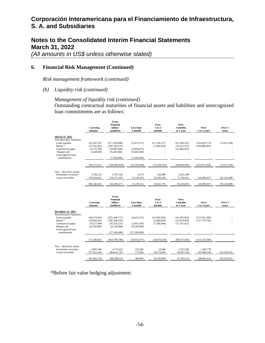## **Notes to the Consolidated Interim Financial Statements March 31, 2022**

*(All amounts in US\$ unless otherwise stated)* 

#### **6. Financial Risk Management (Continued)**

*Risk management framework (continued)* 

*(b) Liquidity risk (continued)* 

#### *Management of liquidity risk (continued)*

Outstanding contractual maturities of financial assets and liabilities and unrecognized loan commitments are as follows:

|                                                                                                                                                                | Carrying<br>amount                                      | <b>Gross</b><br><b>Nominal</b><br>inflow/<br>(outflow)                          | <b>Less than</b><br>1 month                               | Over<br>1 to 3<br>months                   | Over<br>3 months<br>to 1 year                  | Over<br>1 to 5 years               | Over 5<br>vears            |
|----------------------------------------------------------------------------------------------------------------------------------------------------------------|---------------------------------------------------------|---------------------------------------------------------------------------------|-----------------------------------------------------------|--------------------------------------------|------------------------------------------------|------------------------------------|----------------------------|
| March 31, 2022<br>Non-derivative liabilities:<br>Loans payable<br>Bonds <sup>*</sup><br>Commercial paper<br>Margin Call<br>Unrecognized loan<br>commitments    | 152,567,207<br>157,591,826<br>23,732,780<br>9,420,000   | (171.228.898)<br>(187, 320, 122)<br>(18.991.830)<br>(9,420,000)<br>(7,500,000)  | (5,411,571)<br>(3.004.875)<br>(9,420,000)<br>(7,500,000)  | (11.518.277)<br>(1,920,504)                | (47.438.167)<br>(35, 413, 537)<br>(15,986,955) | (105, 829, 775)<br>(149,986,081)   | (1,031,109)                |
|                                                                                                                                                                | 343, 311, 813                                           | (394, 460, 850)                                                                 | (25, 336, 446)                                            | (13, 438, 781)                             | (98, 838, 659)                                 | (255, 815, 856)                    | (1,031,109)                |
| Non – derivative assets:<br>Investment securities<br>Loans receivable                                                                                          | 5.706.131<br>379,634,051<br>385, 340, 182               | 5,787,166<br>519,271,105<br>525,058,271                                         | 9.279<br>15,129,933<br>15,139,212                         | 326,489<br>10,236,246<br>10,562,735        | 5.451.398<br>77,765,421<br>83,216,819          | 224,895,817<br>224,895,817         | 191,243,688<br>191,243,688 |
|                                                                                                                                                                | Carrying<br>amount                                      | <b>Gross</b><br><b>Nominal</b><br>inflow/<br>(outflow)                          | <b>Less than</b><br>1 month                               | Over<br>1 to 3<br>months                   | Over<br>3 months<br>to 1 year                  | Over<br>1 to 5 years               | Over 5<br>vears            |
| December 31, 2021<br>Non-derivative liabilities:<br>Loans payable<br>Bonds <sup>*</sup><br>Commercial paper<br>Margin call<br>Unrecognized loan<br>commitments | 149,374,504<br>154,084,363<br>20,211,988<br>(6,230,000) | (225.348.177)<br>(185, 584, 478)<br>(20,518,125)<br>(6,230,000)<br>(27,100,000) | (4,622,321)<br>(2,001,556)<br>(6,230,000)<br>(27,100,000) | (19,200,592)<br>(2,484,664)<br>(7,368,948) | (43,593,965)<br>(25,929,064)<br>(11, 147, 621) | (157, 931, 299)<br>(157, 170, 750) |                            |

|                                                                       | 317,440,855              | (464,780,780)            | (39.953.877)       | (29.054.204)         | (80.670.650)              | (315.102.049)            |             |
|-----------------------------------------------------------------------|--------------------------|--------------------------|--------------------|----------------------|---------------------------|--------------------------|-------------|
| Non – derivative assets:<br>Investment securities<br>Loans receivable | 4.081.560<br>357.321.168 | 4.176.432<br>464,411,787 | 233,026<br>171.665 | 23,046<br>30.173.803 | 2.915.582<br>64, 587, 528 | 1.004.778<br>207,860,236 | 161,618,555 |
|                                                                       | 361,402,728              | 468,588,219              | 404.691            | 30.196.849           | 67.503.110                | 208,865,014              | 161,618,555 |

\*Before fair value hedging adjustment.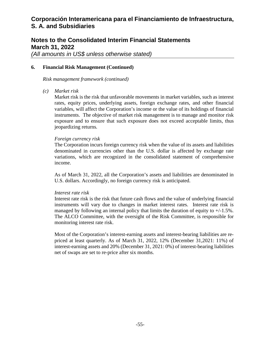## **Notes to the Consolidated Interim Financial Statements March 31, 2022**

*(All amounts in US\$ unless otherwise stated)* 

#### **6. Financial Risk Management (Continued)**

*Risk management framework (continued)* 

*(c) Market risk* 

Market risk is the risk that unfavorable movements in market variables, such as interest rates, equity prices, underlying assets, foreign exchange rates, and other financial variables, will affect the Corporation's income or the value of its holdings of financial instruments. The objective of market risk management is to manage and monitor risk exposure and to ensure that such exposure does not exceed acceptable limits, thus jeopardizing returns*.* 

#### *Foreign currency risk*

The Corporation incurs foreign currency risk when the value of its assets and liabilities denominated in currencies other than the U.S. dollar is affected by exchange rate variations, which are recognized in the consolidated statement of comprehensive income.

As of March 31, 2022, all the Corporation's assets and liabilities are denominated in U.S. dollars. Accordingly, no foreign currency risk is anticipated.

#### *Interest rate risk*

Interest rate risk is the risk that future cash flows and the value of underlying financial instruments will vary due to changes in market interest rates. Interest rate risk is managed by following an internal policy that limits the duration of equity to  $+/-1.5\%$ . The ALCO Committee, with the oversight of the Risk Committee, is responsible for monitoring interest rate risk.

Most of the Corporation's interest-earning assets and interest-bearing liabilities are repriced at least quarterly. As of March 31, 2022, 12% (December 31,2021: 11%) of interest-earning assets and 20% (December 31, 2021: 0%) of interest-bearing liabilities net of swaps are set to re-price after six months.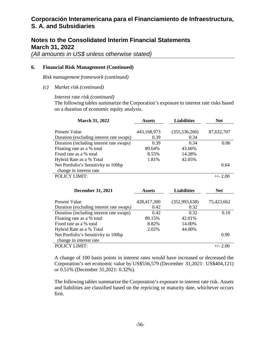### **Notes to the Consolidated Interim Financial Statements March 31, 2022**

*(All amounts in US\$ unless otherwise stated)* 

#### **6. Financial Risk Management (Continued)**

*Risk management framework (continued)* 

*(c) Market risk (continued)* 

#### *Interest rate risk (continued)*

The following tables summarize the Corporation's exposure to interest rate risks based on a duration of economic equity analysis.

| <b>March 31, 2022</b>                    | <b>Assets</b> | <b>Liabilities</b> | <b>Net</b> |  |
|------------------------------------------|---------------|--------------------|------------|--|
|                                          |               |                    |            |  |
| Present Value                            | 443,168,973   | (355, 536, 266)    | 87,632,707 |  |
| Duration (excluding interest rate swaps) | 0.39          | 0.34               |            |  |
| Duration (including interest rate swaps) | 0.39          | 0.34               | 0.06       |  |
| Floating rate as a % total               | 89.64%        | 43.66%             |            |  |
| Fixed rate as a % total                  | 8.55%         | 14.28%             |            |  |
| Hybrid Rate as a % Total                 | 1.81%         | 42.05%             |            |  |
| Net Portfolio's Sensitivity to 100bp     |               |                    | 0.64       |  |
| change in interest rate                  |               |                    |            |  |
| <b>POLICY LIMIT:</b>                     |               |                    | $+/- 2.00$ |  |

| <b>December 31, 2021</b>                                  | <b>Assets</b>       | <b>Liabilities</b>    | <b>Net</b> |  |
|-----------------------------------------------------------|---------------------|-----------------------|------------|--|
| Present Value<br>Duration (excluding interest rate swaps) | 428,417,300<br>0.42 | (352,993,638)<br>0.32 | 75,423,662 |  |
| Duration (including interest rate swaps)                  | 0.42                | 0.32                  | 0.10       |  |
| Floating rate as a % total                                | 89.15%              | 42.01%                |            |  |
| Fixed rate as a % total                                   | 8.82%               | 14.00%                |            |  |
| Hybrid Rate as a % Total                                  | 2.02%               | 44.00%                |            |  |
| Net Portfolio's Sensitivity to 100bp                      |                     |                       | 0.90       |  |
| change in interest rate                                   |                     |                       |            |  |
| POLICY LIMIT:                                             |                     |                       | $+/- 2.00$ |  |

A change of 100 basis points in interest rates would have increased or decreased the Corporation's net economic value by US\$556,579 (December 31,2021: US\$404,121) or 0.51% (December 31,2021: 0.32%).

The following tables summarize the Corporation's exposure to interest rate risk. Assets and liabilities are classified based on the repricing or maturity date, whichever occurs first.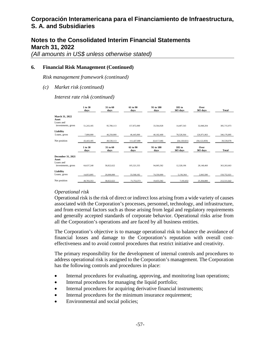### **Notes to the Consolidated Interim Financial Statements March 31, 2022**

*(All amounts in US\$ unless otherwise stated)* 

#### **6. Financial Risk Management (Continued)**

*Risk management framework (continued)* 

*(c) Market risk (continued)* 

*Interest rate risk (continued)* 

|                                         | 1 to 30<br>days | 31 to 60<br>days | 61 to 90<br>days | 91 to 180<br>days | 181 to<br>365 days | Over<br>365 days | <b>Total</b> |
|-----------------------------------------|-----------------|------------------|------------------|-------------------|--------------------|------------------|--------------|
| March 31, 2022<br>Asset<br>Loans and    |                 |                  |                  |                   |                    |                  |              |
| investments, gross                      | 51,243,185      | 95,780,113       | 157,872,000      | 33,564,928        | 14,407,543         | 32,848,204       | 385,715,973  |
| Liability                               |                 |                  |                  |                   |                    |                  |              |
| Loans, gross                            | 7,800,000       | 46,250,000       | 46,445,000       | 40,182,468        | 78,528,364         | 126,971,063      | 346,176,895  |
| Net position                            | 43,443,185      | 49.530.113       | 111,427,000      | (6,617,540)       | (64, 120, 821)     | (94, 122, 859)   | 39,539,078   |
|                                         | 1 to 30<br>days | 31 to 60<br>days | 61 to 90<br>days | 91 to 180<br>days | 181 to<br>365 days | Over<br>365 days | <b>Total</b> |
| December 31, 2021<br>Asset<br>Loans and |                 |                  |                  |                   |                    |                  |              |
| investments, gross                      | 64.637.248      | 58,822,622       | 105,321,555      | 94,005,582        | 12,328,196         | 28,148,460       | 363,263,663  |
| Liability<br>Loans, gross               | 14,853,895      | 20,000,000       | 33,568,182       | 74.350,000        | 5,136,364          | 2,843,580        | 150,752,021  |
|                                         |                 |                  |                  |                   |                    |                  |              |
| Net position                            | 49,783,353      | 38.822.622       | 71,753,373       | 19.655.582        | 7,191,832          | 25,304,880       | 212,511,642  |

#### *Operational risk*

Operational risk is the risk of direct or indirect loss arising from a wide variety of causes associated with the Corporation's processes, personnel, technology, and infrastructure, and from external factors such as those arising from legal and regulatory requirements and generally accepted standards of corporate behavior. Operational risks arise from all the Corporation's operations and are faced by all business entities.

The Corporation's objective is to manage operational risk to balance the avoidance of financial losses and damage to the Corporation's reputation with overall costeffectiveness and to avoid control procedures that restrict initiative and creativity.

The primary responsibility for the development of internal controls and procedures to address operational risk is assigned to the Corporation's management. The Corporation has the following controls and procedures in place:

- Internal procedures for evaluating, approving, and monitoring loan operations;
- Internal procedures for managing the liquid portfolio;
- Internal procedures for acquiring derivative financial instruments;
- Internal procedures for the minimum insurance requirement;
- Environmental and social policies;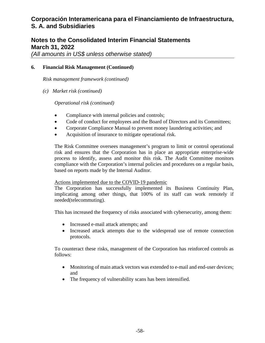## **Notes to the Consolidated Interim Financial Statements March 31, 2022**

*(All amounts in US\$ unless otherwise stated)* 

#### **6. Financial Risk Management (Continued)**

*Risk management framework (continued)* 

*(c) Market risk (continued)* 

*Operational risk (continued)* 

- Compliance with internal policies and controls;
- Code of conduct for employees and the Board of Directors and its Committees;
- Corporate Compliance Manual to prevent money laundering activities; and
- Acquisition of insurance to mitigate operational risk.

The Risk Committee oversees management's program to limit or control operational risk and ensures that the Corporation has in place an appropriate enterprise-wide process to identify, assess and monitor this risk. The Audit Committee monitors compliance with the Corporation's internal policies and procedures on a regular basis, based on reports made by the Internal Auditor.

#### Actions implemented due to the COVID-19 pandemic

The Corporation has successfully implemented its Business Continuity Plan, implicating among other things, that 100% of its staff can work remotely if needed(telecommuting).

This has increased the frequency of risks associated with cybersecurity, among them:

- Increased e-mail attack attempts; and
- Increased attack attempts due to the widespread use of remote connection protocols.

To counteract these risks, management of the Corporation has reinforced controls as follows:

- Monitoring of main attack vectors was extended to e-mail and end-user devices; and
- The frequency of vulnerability scans has been intensified.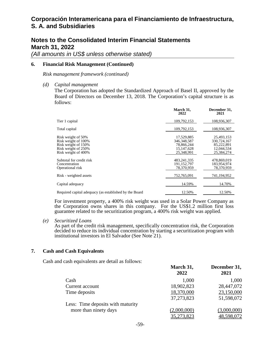### **Notes to the Consolidated Interim Financial Statements March 31, 2022**

*(All amounts in US\$ unless otherwise stated)* 

#### **6. Financial Risk Management (Continued)**

*Risk management framework (continued)* 

*(d) Capital management* 

The Corporation has adopted the Standardized Approach of Basel II, approved by the Board of Directors on December 13, 2018. The Corporation's capital structure is as follows:

|                                                                                                                | March 31,<br>2022                                                       | December 31,<br>2021                                                |
|----------------------------------------------------------------------------------------------------------------|-------------------------------------------------------------------------|---------------------------------------------------------------------|
| Tier 1 capital                                                                                                 | 109,792,153                                                             | 108,936,307                                                         |
| Total capital                                                                                                  | 109,792,153                                                             | 108,936,307                                                         |
| Risk weight of 50%<br>Risk weight of 100%<br>Risk weight of 150%<br>Risk weight of 250%<br>Risk weight of 400% | 17,529,885<br>346, 348, 587<br>78,866,244<br>15, 147, 628<br>25.348.991 | 25,493,153<br>330,724,167<br>85,222,891<br>12,044,534<br>25,384,274 |
| Subtotal for credit risk<br>Concentration<br>Operational risk                                                  | 483, 241, 335<br>191,152,797<br>78.370.959                              | 478,869,019<br>183,954,974<br>78.370.959                            |
| Risk - weighted assets                                                                                         | 752,765,091                                                             | 741,194,952                                                         |
| Capital adequacy                                                                                               | 14.59%                                                                  | 14.70%                                                              |
| Required capital adequacy (as established by the Board                                                         | 12.50%                                                                  | 12.50%                                                              |

For investment property, a 400% risk weight was used in a Solar Power Company as the Corporation owns shares in this company. For the US\$1.2 million first loss guarantee related to the securitization program, a 400% risk weight was applied.

*(e) Securitized Loans* 

As part of the credit risk management, specifically concentration risk, the Corporation decided to reduce its individual concentration by starting a securitization program with institutional investors in El Salvador (See Note 21).

#### **7. Cash and Cash Equivalents**

Cash and cash equivalents are detail as follows:

|                                   | March 31,<br>2022 | December 31,<br>2021 |
|-----------------------------------|-------------------|----------------------|
| Cash                              | 1,000             | 1,000                |
| Current account                   | 18,902,823        | 28,447,072           |
| Time deposits                     | 18,370,000        | 23,150,000           |
|                                   | 37,273,823        | 51,598,072           |
| Less: Time deposits with maturity |                   |                      |
| more than ninety days             | (2,000,000)       | (3,000,000)          |
|                                   | 35,273,823        | 48,598,072           |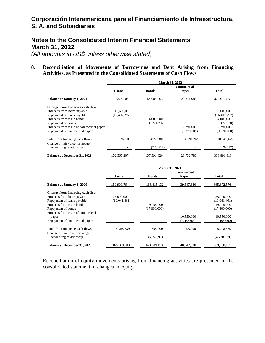### **Notes to the Consolidated Interim Financial Statements March 31, 2022**

*(All amounts in US\$ unless otherwise stated)* 

#### **8. Reconciliation of Movements of Borrowings and Debt Arising from Financing Activities, as Presented in the Consolidated Statements of Cash Flows**

|                                                           | <b>March 31, 2022</b> |              |             |                |  |  |
|-----------------------------------------------------------|-----------------------|--------------|-------------|----------------|--|--|
|                                                           |                       |              | Commercial  |                |  |  |
|                                                           | Loans                 | <b>Bonds</b> | Paper       | <b>Total</b>   |  |  |
| <b>Balance at January 1, 2021</b>                         | 149.374.504           | 154,084,363  | 20,211,988  | 323,670,855    |  |  |
| Change from financing cash flow                           |                       |              |             |                |  |  |
| Proceeds from loans payable                               | 19,600,00             |              |             | 19,600,000     |  |  |
| Repayment of loans payable                                | (16, 407, 297)        |              |             | (16, 407, 297) |  |  |
| Proceeds from issue bonds                                 |                       | 4.000.000    |             | 4,000,000      |  |  |
| Repayment of bonds                                        |                       | (172,020)    |             | (172,020)      |  |  |
| Proceeds from issue of commercial paper                   |                       |              | 12,791,000  | 12.791.000     |  |  |
| Repayment of commercial paper                             |                       |              | (9,270,208) | (9,270,208)    |  |  |
| Total from financing cash flows                           | 3,192,703             | 3,827,980    | 3,520,792   | 10,541,475     |  |  |
| Change of fair value for hedge<br>accounting relationship |                       | (320, 517)   |             | (320, 517)     |  |  |
| <b>Balance at December 31, 2021</b>                       | 152,567,207           | 157,591,826  | 23,732,780  | 333,891,813    |  |  |

|                                     | <b>March 31, 2021</b> |              |             |              |  |  |
|-------------------------------------|-----------------------|--------------|-------------|--------------|--|--|
|                                     | Commercial            |              |             |              |  |  |
|                                     | Loans                 | <b>Bonds</b> | Paper       | <b>Total</b> |  |  |
| <b>Balance at January 1, 2020</b>   | 159,909,764           | 166,415,132  | 39,547,680  | 365,872,576  |  |  |
| Change from financing cash flow     |                       |              |             |              |  |  |
| Proceeds from loans payable         | 25,000,000            |              |             | 25,000,000   |  |  |
| Repayment of loans payable          | (19,041,461)          |              |             | (19,041,461) |  |  |
| Proceeds from issue bonds           |                       | 19,495,000   |             | 19,495,000   |  |  |
| Repayment of bonds                  |                       | (17,800,000) |             | (17,800,000) |  |  |
| Proceeds from issue of commercial   |                       |              |             |              |  |  |
| paper                               |                       |              | 10,550,000  | 10,550,000   |  |  |
| Repayment of commercial paper       |                       |              | (9,455,000) | (9,455,000)  |  |  |
| Total from financing cash flows     | 5,958,539             | 1.695.000    | 1,095,000   | 8,748,539    |  |  |
| Change of fair value for hedge      |                       |              |             |              |  |  |
| accounting relationship             |                       | (4,720,97)   |             | (4,720,979)  |  |  |
| <b>Balance at December 31, 2020</b> | 165,868,303           | 163,389,153  | 40,642,680  | 369,900,135  |  |  |

Reconciliation of equity movements arising from financing activities are presented in the consolidated statement of changes in equity.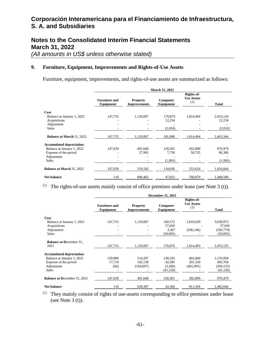## **Notes to the Consolidated Interim Financial Statements March 31, 2022**

*(All amounts in US\$ unless otherwise stated)* 

#### **9. Furniture, Equipment, Improvements and Rights-of-Use Assets**

Furniture, equipment, improvements, and rights-of-use assets are summarized as follows:

|                                                     | <b>March 31, 2022</b>             |                                        |                       |                                        |                     |  |  |
|-----------------------------------------------------|-----------------------------------|----------------------------------------|-----------------------|----------------------------------------|---------------------|--|--|
|                                                     | <b>Furniture and</b><br>Equipment | <b>Property</b><br><b>Improvements</b> | Computer<br>Equipment | Rights-of-<br><b>Use Assets</b><br>(1) | <b>Total</b>        |  |  |
| Cost                                                |                                   |                                        |                       |                                        |                     |  |  |
| Balance at January 1, 2022<br>Acquisitions          | 147,755                           | 1,120,007                              | 170,870<br>12,234     | 1,014,494                              | 2,453,126<br>12,234 |  |  |
| Adjustment<br>Sales                                 |                                   |                                        | (2,016)               |                                        | (2,016)             |  |  |
| <b>Balance at March 31, 2022</b>                    | 147,755                           | 1,120,007                              | 181,088               | 1,014,494                              | 2,463,344           |  |  |
| <b>Accumulated depreciation:</b>                    |                                   |                                        |                       |                                        |                     |  |  |
| Balance at January 1, 2022<br>Expense of the period | 147,639                           | 491.640<br>27,905                      | 128,301<br>7,730      | 202,899<br>50,725                      | 970,479<br>86,360   |  |  |
| Adjustment<br><b>Sales</b>                          |                                   |                                        | (1,995)               |                                        | (1,995)             |  |  |
| <b>Balance at March 31, 2022</b>                    | 147,639                           | 519,545                                | 134,036               | 253,624                                | 1,054,844           |  |  |
| <b>Net balance</b>                                  | 116                               | 600,462                                | 47,052                | 760,870                                | 1,408,500           |  |  |

(1) The rights-of-use assets mainly consist of office premises under lease (see Note  $3(t)$ ).

|                                     | <b>December 31, 2021</b>          |                                        |                       |                                        |              |  |  |
|-------------------------------------|-----------------------------------|----------------------------------------|-----------------------|----------------------------------------|--------------|--|--|
|                                     | <b>Furniture and</b><br>Equipment | <b>Property</b><br><b>Improvements</b> | Computer<br>Equipment | Rights-of-<br><b>Use Assets</b><br>(1) | <b>Total</b> |  |  |
| Cost                                |                                   |                                        |                       |                                        |              |  |  |
| Balance at January 1, 2021          | 147,755                           | 1,120,007                              | 160,572               | 1,610,639                              | 3,038,973    |  |  |
| Acquisitions                        |                                   |                                        | 57,026                |                                        | 57,026       |  |  |
| Adjustment                          |                                   |                                        | 3,367                 | (596, 146)                             | (592, 779)   |  |  |
| <b>Sales</b>                        |                                   |                                        | (50,095)              |                                        | (50,095)     |  |  |
| <b>Balance at December 31.</b>      |                                   |                                        |                       |                                        |              |  |  |
| 2021                                | 147,755                           | 1,120,007                              | 170,870               | 1,014,493                              | 2,453,125    |  |  |
| <b>Accumulated depreciation:</b>    |                                   |                                        |                       |                                        |              |  |  |
| Balance at January 1, 2021          | 129,986                           | 514,207                                | 130,105               | 402,660                                | 1,176,958    |  |  |
| Expense of the period               | 17,719                            | 142,130                                | 42,585                | 201,330                                | 403,764      |  |  |
| Adjustment                          | (66)                              | (164, 697)                             | (3,269)               | (401,091)                              | (569, 123)   |  |  |
| <b>Sales</b>                        |                                   |                                        | (41, 120)             |                                        | (41, 120)    |  |  |
| <b>Balance at December 31, 2021</b> | 147,639                           | 491,640                                | 128,301               | 202,899                                | 970,479      |  |  |
| <b>Net balance</b>                  | 116                               | 628,367                                | 42,569                | 811,594                                | 1,482,646    |  |  |

(1) They mainly consist of rights of use-assets corresponding to office premises under lease (see Note  $3(t)$ ).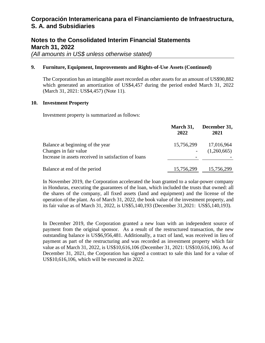## **Notes to the Consolidated Interim Financial Statements March 31, 2022**

*(All amounts in US\$ unless otherwise stated)* 

#### **9. Furniture, Equipment, Improvements and Rights-of-Use Assets (Continued)**

The Corporation has an intangible asset recorded as other assets for an amount of US\$90,882 which generated an amortization of US\$4,457 during the period ended March 31, 2022 (March 31, 2021: US\$4,457) (Note 11).

#### **10. Investment Property**

Investment property is summarized as follows:

|                                                      | March 31,<br>2022 | December 31,<br>2021 |
|------------------------------------------------------|-------------------|----------------------|
| Balance at beginning of the year                     | 15,756,299        | 17,016,964           |
| Changes in fair value                                |                   | (1,260,665)          |
| Increase in assets received in satisfaction of loans |                   |                      |
| Balance at end of the period                         | 15,756,299        | 15,756,299           |

In November 2019, the Corporation accelerated the loan granted to a solar-power company in Honduras, executing the guarantees of the loan, which included the trusts that owned: all the shares of the company, all fixed assets (land and equipment) and the license of the operation of the plant. As of March 31, 2022, the book value of the investment property, and its fair value as of March 31, 2022, is US\$5,140,193 (December 31,2021: US\$5,140,193).

In December 2019, the Corporation granted a new loan with an independent source of payment from the original sponsor. As a result of the restructured transaction, the new outstanding balance is US\$6,956,481. Additionally, a tract of land, was received in lieu of payment as part of the restructuring and was recorded as investment property which fair value as of March 31, 2022, is US\$10,616,106 (December 31, 2021: US\$10,616,106). As of December 31, 2021, the Corporation has signed a contract to sale this land for a value of US\$10,616,106, which will be executed in 2022.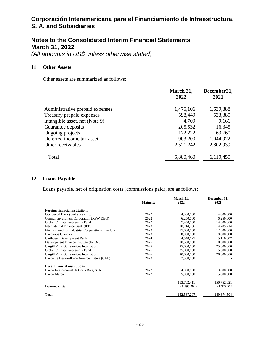# **Notes to the Consolidated Interim Financial Statements March 31, 2022**

*(All amounts in US\$ unless otherwise stated)* 

#### **11. Other Assets**

Other assets are summarized as follows:

|                                 | March 31,<br>2022 | December31,<br>2021 |
|---------------------------------|-------------------|---------------------|
| Administrative prepaid expenses | 1,475,106         | 1,639,888           |
| Treasury prepaid expenses       | 598,449           | 533,380             |
| Intangible asset, net (Note 9)  | 4,709             | 9,166               |
| Guarantee deposits              | 205,532           | 16,345              |
| Ongoing projects                | 172,222           | 63,760              |
| Deferred income tax asset       | 903,200           | 1,044,972           |
| Other receivables               | 2,521,242         | 2,802,939           |
| Total                           | 5,880,460         | 6,110,450           |

#### **12. Loans Payable**

Loans payable, net of origination costs (commissions paid), are as follows:

|                                                     |                 | March 31,   | December 31, |
|-----------------------------------------------------|-----------------|-------------|--------------|
|                                                     | <b>Maturity</b> | 2022        | 2021         |
| <b>Foreign financial institutions</b>               |                 |             |              |
| Occidental Bank (Barbados) Ltd.                     | 2022            | 4,000,000   | 4,000,000    |
| German Investment Corporation (KFW DEG)             | 2022            | 6,250,000   | 6,250,000    |
| Global Climate Partnership Fund                     | 2022            | 7,450,000   | 14,900,000   |
| International Finance Bank (IFB)                    | 2023            | 10,714,286  | 14,285,714   |
| Finnish Fund for Industrial Cooperation (Finn fund) | 2023            | 15,000,000  | 12,900,000   |
| <b>Bancaribe Curacao</b>                            | 2023            | 8,000,000   | 8,000,000    |
| Caribbean Development Bank                          | 2024            | 4,548,125   | 5,116,307    |
| Development Finance Institute (FinDev)              | 2025            | 10,500,000  | 10,500,000   |
| Cargill Financial Services International            | 2025            | 25,000,000  | 25,000,000   |
| Global Climate Partnership Fund                     | 2026            | 25,000,000  | 15,000,000   |
| Cargill Financial Services International            | 2026            | 20,000,000  | 20,000,000   |
| Banco de Desarrollo de Amércia Latina (CAF)         | 2023            | 7,500,000   |              |
| <b>Local financial institutions</b>                 |                 |             |              |
| Banco Internacional de Costa Rica, S. A.            | 2022            | 4,800,000   | 9,800,000    |
| <b>Banco Mercantil</b>                              | 2022            | 5,000,000   | 5,000,000    |
|                                                     |                 | 153,762,411 | 150,752,021  |
| Deferred costs                                      |                 | (1,195,204) | (1,377,517)  |
|                                                     |                 |             |              |
| Total                                               |                 | 152,567,207 | 149,374,504  |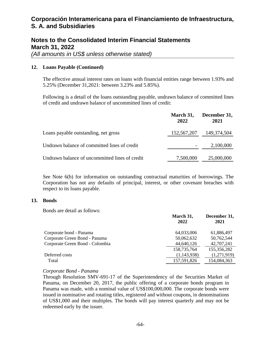## **Notes to the Consolidated Interim Financial Statements March 31, 2022**

*(All amounts in US\$ unless otherwise stated)* 

#### **12. Loans Payable (Continued)**

The effective annual interest rates on loans with financial entities range between 1.93% and 5.25% (December 31,2021: between 3.23% and 5.85%).

Following is a detail of the loans outstanding payable, undrawn balance of committed lines of credit and undrawn balance of uncommitted lines of credit:

|                                                | March 31,<br>2022 | December 31,<br>2021 |
|------------------------------------------------|-------------------|----------------------|
| Loans payable outstanding, net gross           | 152,567,207       | 149,374,504          |
| Undrawn balance of committed lines of credit   |                   | 2,100,000            |
| Undrawn balance of uncommitted lines of credit | 7,500,000         | 25,000,000           |

See Note 6(b) for information on outstanding contractual maturities of borrowings. The Corporation has not any defaults of principal, interest, or other covenant breaches with respect to its loans payable.

#### **13. Bonds**

Bonds are detail as follows:

| March 31,<br>December 31,<br>2022<br>2021     |             |
|-----------------------------------------------|-------------|
| Corporate bond - Panama<br>64,033,006         | 61,886,497  |
| Corporate Green Bond - Panama<br>50,062,632   | 50,762,544  |
| Corporate Green Bond - Colombia<br>44,640,126 | 42,707,241  |
| 158,735,764<br>155,356,282                    |             |
| Deferred costs<br>(1,143,938)                 | (1,271,919) |
| 154,084,363<br>157,591,826<br>Total           |             |

#### *Corporate Bond - Panama*

Through Resolution SMV-691-17 of the Superintendency of the Securities Market of Panama, on December 20, 2017, the public offering of a corporate bonds program in Panama was made, with a nominal value of US\$100,000,000. The corporate bonds were issued in nominative and rotating titles, registered and without coupons, in denominations of US\$1,000 and their multiples. The bonds will pay interest quarterly and may not be redeemed early by the issuer.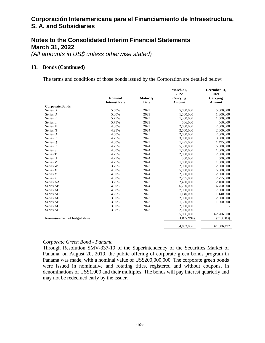## **Notes to the Consolidated Interim Financial Statements March 31, 2022**

*(All amounts in US\$ unless otherwise stated)* 

#### **13. Bonds (Continued)**

The terms and conditions of those bonds issued by the Corporation are detailed below:

|                               |                      |                 | March 31,<br>2022 | December 31,<br>2021 |
|-------------------------------|----------------------|-----------------|-------------------|----------------------|
|                               | <b>Nominal</b>       | <b>Maturity</b> | Carrying          | Carrying             |
|                               | <b>Interest Rate</b> | Date            | Amount            | Amount               |
| <b>Corporate Bonds</b>        |                      |                 |                   |                      |
| Series B                      | 5.50%                | 2023            | 5,000,000         | 5,000,000            |
| Series D                      | 5.00%                | 2023            | 1,500,000         | 1,800,000            |
| Series K                      | 5.75%                | 2023            | 1,500,000         | 1,500,000            |
| Series L                      | 5.75%                | 2023            | 566,000           | 566,000              |
| Series M                      | 4.00%                | 2023            | 2,000,000         | 2,000,000            |
| Series N                      | 4.25%                | 2024            | 2,000,000         | 2,000,000            |
| Series O                      | 4.50%                | 2025            | 2,000,000         | 2,000,000            |
| Series P                      | 4.75%                | 2026            | 3,000,000         | 3,000,000            |
| Series Q                      | 4.00%                | 2023            | 1,495,000         | 1,495,000            |
| Series R                      | 4.25%                | 2024            | 5,500,000         | 5,500,000            |
| Series S                      | 4.00%                | 2024            | 1,000,000         | 1,000,000            |
| Series T                      | 4.25%                | 2024            | 2,000,000         | 2,000,000            |
| Series U                      | 4.25%                | 2024            | 500,000           | 500,000              |
| Series V                      | 4.25%                | 2024            | 1,000,000         | 1,000,000            |
| Series W                      | 3.75%                | 2023            | 2,000,000         | 2,000,000            |
| Series X                      | 4.00%                | 2024            | 5,000,000         | 5,000,000            |
| Series Y                      | 4.00%                | 2024            | 2,300,000         | 2,300,000            |
| Series Z                      | 4.00%                | 2024            | 2,755,000         | 2,755,000            |
| Series AA                     | 3.25%                | 2023            | 2,400,000         | 2,400,000            |
| Series AB                     | 4.00%                | 2024            | 6,750,000         | 6,750,000            |
| Series AC                     | 4.38%                | 2025            | 7,000,000         | 7,000,000            |
| Series AD                     | 4.25%                | 2025            | 1,140,000         | 1,140,000            |
| Series AE                     | 3.50%                | 2023            | 2,000,000         | 2,000,000            |
| Series AF                     | 3.50%                | 2023            | 1,500,000         | 1,500,000            |
| Series AG                     | 3.50%                | 2024            | 2,000,000         |                      |
| Series AH                     | 3.38%                | 2023            | 2,000,000         |                      |
|                               |                      |                 | 65,906,000        | 62,206,000           |
| Remeasurement of hedged items |                      |                 | (1,872,994)       | (319,503)            |
|                               |                      |                 |                   |                      |
|                               |                      |                 | 64,033,006        | 61,886,497           |

#### *Corporate Green Bond - Panama*

Through Resolution SMV-337-19 of the Superintendency of the Securities Market of Panama, on August 20, 2019, the public offering of corporate green bonds program in Panama was made, with a nominal value of US\$200,000,000. The corporate green bonds were issued in nominative and rotating titles, registered and without coupons, in denominations of US\$1,000 and their multiples. The bonds will pay interest quarterly and may not be redeemed early by the issuer.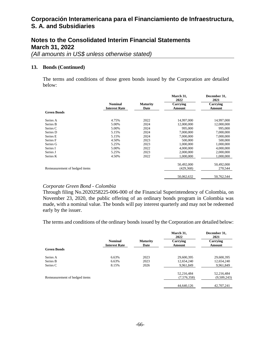## **Notes to the Consolidated Interim Financial Statements March 31, 2022**

*(All amounts in US\$ unless otherwise stated)* 

#### **13. Bonds (Continued)**

The terms and conditions of those green bonds issued by the Corporation are detailed below:

|                               | <b>Nominal</b>       | <b>Maturity</b> | March 31,<br>2022  | December 31,<br>2021 |
|-------------------------------|----------------------|-----------------|--------------------|----------------------|
|                               | <b>Interest Rate</b> | Date            | Carrying<br>Amount | Carrying<br>Amount   |
| <b>Green Bonds</b>            |                      |                 |                    |                      |
| Series A                      | 4.75%                | 2022            | 14,997,000         | 14,997,000           |
| Series B                      | 5.00%                | 2024            | 12,000,000         | 12,000,000           |
| Series C                      | 5.00%                | 2024            | 995,000            | 995,000              |
| Series D                      | 5.15%                | 2024            | 7,000,000          | 7,000,000            |
| Series E                      | 5.15%                | 2024            | 7,000,000          | 7,000,000            |
| Series F                      | 4.50%                | 2023            | 500,000            | 500,000              |
| Series G                      | 5.25%                | 2023            | 1,000,000          | 1,000,000            |
| Series I                      | 5.00%                | 2022            | 4,000,000          | 4,000,000            |
| Series J                      | 5.25%                | 2023            | 2,000,000          | 2,000,000            |
| Series K                      | 4.50%                | 2022            | 1,000,000          | 1,000,000            |
|                               |                      |                 | 50,492,000         | 50,492,000           |
| Remeasurement of hedged items |                      |                 | (429, 368)         | 270,544              |
|                               |                      |                 | 50,062,632         | 50,762,544           |

#### *Corporate Green Bond - Colombia*

Through filing No.2020258225-006-000 of the Financial Superintendency of Colombia, on November 23, 2020, the public offering of an ordinary bonds program in Colombia was made, with a nominal value. The bonds will pay interest quarterly and may not be redeemed early by the issuer.

The terms and conditions of the ordinary bonds issued by the Corporation are detailed below:

|                               |                                        |                         | March 31,<br>2022  | December 31,<br>2021 |
|-------------------------------|----------------------------------------|-------------------------|--------------------|----------------------|
|                               | <b>Nominal</b><br><b>Interest Rate</b> | <b>Maturity</b><br>Date | Carrying<br>Amount | Carrying<br>Amount   |
| <b>Green Bonds</b>            |                                        |                         |                    |                      |
| Series A                      | 6.63%                                  | 2023                    | 29,600,395         | 29,600,395           |
| Series B                      | 6.63%                                  | 2023                    | 12,654,240         | 12,654,240           |
| Series C                      | 8.15%                                  | 2026                    | 9,961,849          | 9,961,849            |
|                               |                                        |                         | 52,216,484         | 52,216,484           |
| Remeasurement of hedged items |                                        |                         | (7,576,358)        | (9,509,243)          |
|                               |                                        |                         | 44,640,126         | 42,707,241           |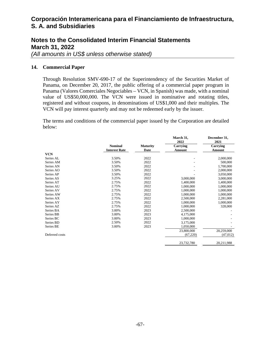## **Notes to the Consolidated Interim Financial Statements March 31, 2022**

*(All amounts in US\$ unless otherwise stated)* 

#### **14. Commercial Paper**

Through Resolution SMV-690-17 of the Superintendency of the Securities Market of Panama, on December 20, 2017, the public offering of a commercial paper program in Panama (Valores Comerciales Negociables – VCN, in Spanish) was made, with a nominal value of US\$50,000,000. The VCN were issued in nominative and rotating titles, registered and without coupons, in denominations of US\$1,000 and their multiples. The VCN will pay interest quarterly and may not be redeemed early by the issuer.

The terms and conditions of the commercial paper issued by the Corporation are detailed below:

|                |                      |                 | March 31,<br>2022 | December 31,<br>2021 |
|----------------|----------------------|-----------------|-------------------|----------------------|
|                | <b>Nominal</b>       | <b>Maturity</b> | Carrying          | Carrying             |
|                | <b>Interest Rate</b> | Date            | Amount            | Amount               |
| <b>VCN</b>     |                      |                 |                   |                      |
| Series AL      | 3.50%                | 2022            |                   | 2,000,000            |
| Series AM      | 3.50%                | 2022            |                   | 500,000              |
| Series AN      | 3.50%                | 2022            |                   | 1,700,000            |
| Series AO      | 3.50%                | 2022            |                   | 2,000,000            |
| Series AP      | 3.50%                | 2022            |                   | 3,050,000            |
| Series AS      | 3.25%                | 2022            | 3,000,000         | 3,000,000            |
| Series AT      | 2.75%                | 2022            | 1,400,000         | 1,400,000            |
| Series AU      | 2.75%                | 2022            | 1,000,000         | 1,000,000            |
| Series AV      | 2.75%                | 2022            | 1,000,000         | 1,000,000            |
| Series AW      | 2.75%                | 2022            | 1,000,000         | 1,000,000            |
| Series AX      | 2.75%                | 2022            | 2,500,000         | 2,281,000            |
| Series AY      | 2.75%                | 2022            | 1,000,000         | 1,000,000            |
| Series AZ      | 2.75%                | 2022            | 1,000,000         | 328,000              |
| Series BA      | 3.00%                | 2023            | 2,500,000         |                      |
| Series BB      | 3.00%                | 2023            | 4,175,000         |                      |
| Series BC      | 3.00%                | 2023            | 1,000,000         |                      |
| Series BD      | 2.50%                | 2022            | 3,175,000         |                      |
| Series BE      | 3.00%                | 2023            | 1,050,000         |                      |
|                |                      |                 | 23,800,000        | 20,259,000           |
| Deferred costs |                      |                 | (67,220)          | (47, 012)            |
|                |                      |                 | 23,732,780        | 20,211,988           |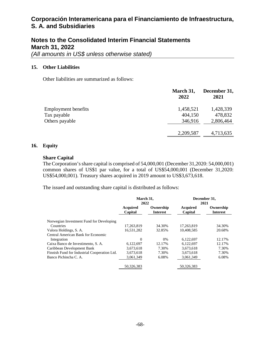## **Notes to the Consolidated Interim Financial Statements March 31, 2022**

*(All amounts in US\$ unless otherwise stated)* 

#### **15. Other Liabilities**

Other liabilities are summarized as follows:

|                            | March 31,<br>2022 | December 31,<br>2021 |
|----------------------------|-------------------|----------------------|
| <b>Employment benefits</b> | 1,458,521         | 1,428,339            |
| Tax payable                | 404,150           | 478,832              |
| Others payable             | 346,916           | 2,806,464            |
|                            | 2,209,587         | 4,713,635            |

#### **16. Equity**

#### **Share Capital**

The Corporation's share capital is comprised of 54,000,001 (December 31,2020: 54,000,001) common shares of US\$1 par value, for a total of US\$54,000,001 (December 31,2020: US\$54,000,001). Treasury shares acquired in 2019 amount to US\$3,673,618.

The issued and outstanding share capital is distributed as follows:

|                                              | March 31,<br>2022          |                              |                     | December 31,<br>2021         |
|----------------------------------------------|----------------------------|------------------------------|---------------------|------------------------------|
|                                              | <b>Acquired</b><br>Capital | Ownership<br><b>Interest</b> | Acquired<br>Capital | Ownership<br><b>Interest</b> |
| Norwegian Investment Fund for Developing     |                            |                              |                     |                              |
| Countries                                    | 17,263,819                 | 34.30%                       | 17,263,819          | 34.30%                       |
| Valora Holdings, S. A.                       | 16,531,282                 | 32.85%                       | 10.408.585          | 20.68%                       |
| Central American Bank for Economic           |                            |                              |                     |                              |
| Integration                                  | $\theta$                   | $0\%$                        | 6,122,697           | 12.17%                       |
| Caixa Banco de Investimento, S. A.           | 6,122,697                  | 12.17%                       | 6,122,697           | 12.17%                       |
| Caribbean Development Bank                   | 3,673,618                  | 7.30%                        | 3,673,618           | 7.30%                        |
| Finnish Fund for Industrial Cooperation Ltd. | 3,673,618                  | 7.30%                        | 3,673,618           | 7.30%                        |
| Banco Pichincha C. A.                        | 3,061,349                  | 6.08%                        | 3.061.349           | 6.08%                        |
|                                              | 50.326.383                 |                              | 50.326.383          |                              |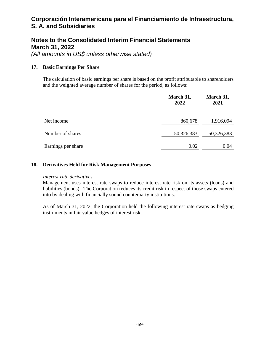## **Notes to the Consolidated Interim Financial Statements March 31, 2022**

*(All amounts in US\$ unless otherwise stated)* 

#### **17. Basic Earnings Per Share**

The calculation of basic earnings per share is based on the profit attributable to shareholders and the weighted average number of shares for the period, as follows:

|                    | March 31,<br>2022 | March 31,<br>2021 |
|--------------------|-------------------|-------------------|
| Net income         | 860,678           | 1,916,094         |
| Number of shares   | 50,326,383        | 50,326,383        |
| Earnings per share | 0.02              | 0.04              |

#### **18. Derivatives Held for Risk Management Purposes**

#### *Interest rate derivatives*

Management uses interest rate swaps to reduce interest rate risk on its assets (loans) and liabilities (bonds). The Corporation reduces its credit risk in respect of those swaps entered into by dealing with financially sound counterparty institutions.

As of March 31, 2022, the Corporation held the following interest rate swaps as hedging instruments in fair value hedges of interest risk.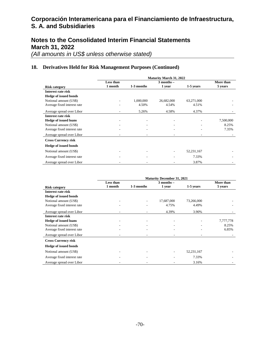## **Notes to the Consolidated Interim Financial Statements March 31, 2022**

*(All amounts in US\$ unless otherwise stated)* 

#### **18. Derivatives Held for Risk Management Purposes (Continued)**

|                              | <b>Maturity March 31, 2022</b> |            |                |            |           |  |
|------------------------------|--------------------------------|------------|----------------|------------|-----------|--|
|                              | Less than                      |            | $3$ months $-$ |            | More than |  |
| <b>Risk category</b>         | 1 month                        | 1-3 months | 1 year         | 1-5 years  | 5 years   |  |
| Interest rate risk           |                                |            |                |            |           |  |
| <b>Hedge of issued bonds</b> |                                |            |                |            |           |  |
| Notional amount (US\$)       |                                | 1,000,000  | 26,682,000     | 63,271,000 |           |  |
| Average fixed interest rate  |                                | 4.50%      | 4.54%          | 4.51%      |           |  |
| Average spread over Libor    |                                | 5.26%      | 4.58%          | 4.37%      |           |  |
| Interest rate risk           |                                |            |                |            |           |  |
| <b>Hedge of issued loans</b> |                                |            |                |            | 7,500,000 |  |
| Notional amount (US\$)       |                                |            |                |            | 8.25%     |  |
| Average fixed interest rate  |                                |            |                |            | 7.35%     |  |
| Average spread over Libor    |                                |            |                |            |           |  |
| <b>Cross Currency risk</b>   |                                |            |                |            |           |  |
| <b>Hedge of issued bonds</b> |                                |            |                |            |           |  |
| Notional amount (US\$)       |                                |            |                | 52,231,167 |           |  |
| Average fixed interest rate  |                                |            |                | 7.33%      |           |  |
| Average spread over Libor    |                                |            |                | 3.87%      |           |  |

|                              | <b>Maturity December 31, 2021</b> |            |                |            |           |  |  |
|------------------------------|-----------------------------------|------------|----------------|------------|-----------|--|--|
|                              | Less than                         |            | $3$ months $-$ |            | More than |  |  |
| <b>Risk category</b>         | 1 month                           | 1-3 months | 1 year         | 1-5 years  | 5 years   |  |  |
| Interest rate risk           |                                   |            |                |            |           |  |  |
| <b>Hedge of issued bonds</b> |                                   |            |                |            |           |  |  |
| Notional amount (US\$)       |                                   | ۰          | 17,687,000     | 73,266,000 |           |  |  |
| Average fixed interest rate  |                                   |            | 4.75%          | 4.49%      |           |  |  |
| Average spread over Libor    |                                   |            | 4.39%          | 3.90%      |           |  |  |
| Interest rate risk           |                                   |            |                |            |           |  |  |
| <b>Hedge of issued loans</b> |                                   | ٠          |                |            | 7,777,778 |  |  |
| Notional amount (US\$)       |                                   |            |                |            | 8.25%     |  |  |
| Average fixed interest rate  |                                   |            |                |            | 6.85%     |  |  |
| Average spread over Libor    |                                   |            |                |            |           |  |  |
| <b>Cross Currency risk</b>   |                                   |            |                |            |           |  |  |
| <b>Hedge of issued bonds</b> |                                   |            |                |            |           |  |  |
| Notional amount (US\$)       |                                   |            |                | 52,231,167 |           |  |  |
| Average fixed interest rate  |                                   |            |                | 7.33%      |           |  |  |
| Average spread over Libor    |                                   |            |                | 3.16%      |           |  |  |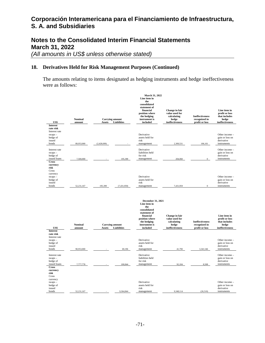## **Notes to the Consolidated Interim Financial Statements March 31, 2022**

*(All amounts in US\$ unless otherwise stated)* 

#### **18. Derivatives Held for Risk Management Purposes (Continued)**

The amounts relating to items designated as hedging instruments and hedge ineffectiveness were as follows:

| US\$                                                                                              | Nominal<br>amount | <b>Carrying amount</b><br>Assets        | <b>Liabilities</b> | March 31, 2022<br>Line item in<br>the<br>consolidated<br>statement of<br>financial<br>position where<br>the hedging<br>instrument is<br>included    | <b>Change</b> in fair<br>value used for<br>calculating<br>hedge<br>ineffectiveness | <b>Ineffectiveness</b><br>recognized in<br>profit or loss | Line item in<br>profit or loss<br>that includes<br>hedge<br>ineffectiveness |
|---------------------------------------------------------------------------------------------------|-------------------|-----------------------------------------|--------------------|-----------------------------------------------------------------------------------------------------------------------------------------------------|------------------------------------------------------------------------------------|-----------------------------------------------------------|-----------------------------------------------------------------------------|
| <b>Interest</b><br>rate risk                                                                      |                   |                                         |                    |                                                                                                                                                     |                                                                                    |                                                           |                                                                             |
| Interest rate<br>$swaps -$<br>hedge of<br>issued<br>bonds                                         | 89,953,000        | (2,428,699)                             |                    | Derivative<br>assets held for<br>risk<br>management                                                                                                 | 2,309,531                                                                          | 106,101                                                   | Other income -<br>gain or loss on<br>derivative<br>instruments              |
| Interest rate<br>$swaps -$<br>hedge of<br>issued loans                                            | 7,500,000         |                                         | 195,399            | Derivative<br>liabilities held<br>for risk<br>management                                                                                            | 204,060                                                                            | $\mathbf{0}$                                              | Other income -<br>gain or loss on<br>derivative<br>instruments              |
| <b>Cross</b><br>currency<br>risk<br>Cross<br>currency<br>$swaps -$<br>hedge of<br>issued<br>bonds | 52,231,167        | 195.399                                 | (7,431,959)        | Derivative<br>assets held for<br>risk<br>management                                                                                                 | 7,431,959                                                                          | $\boldsymbol{0}$                                          | Other income -<br>gain or loss on<br>derivative<br>instruments              |
| US\$                                                                                              | Nominal<br>amount | <b>Carrying amount</b><br><b>Assets</b> | Liabilities        | December 31, 2021<br>Line item in<br>the<br>consolidated<br>statement of<br>financial<br>position where<br>the hedging<br>instrument is<br>included | Change in fair<br>value used for<br>calculating<br>hedge<br>ineffectiveness        | <b>Ineffectiveness</b><br>recognized in<br>profit or loss | Line item in<br>profit or loss<br>that includes<br>hedge<br>ineffectiveness |
| <b>Interest</b><br>rate risk<br>Interest rate<br>$swaps -$<br>hedge of<br>issued<br>bonds         | 90,953,000        |                                         | 69,196             | Derivative<br>assets held for<br>risk<br>management                                                                                                 | 41,790                                                                             | 3,341,546                                                 | Other income -<br>gain or loss on<br>derivative<br>instruments              |
| Interest rate<br>$swaps -$<br>hedge of<br>issued loans                                            | 7,777,778         |                                         | 100,844            | Derivative<br>liabilities held<br>for risk<br>management                                                                                            | 92,184                                                                             | 8,508                                                     | Other income -<br>gain or loss on<br>derivative<br>instruments              |
| <b>Cross</b><br>currency<br>risk<br>Cross<br>currency                                             |                   |                                         |                    |                                                                                                                                                     |                                                                                    |                                                           |                                                                             |
| $swaps -$<br>hedge of<br>issued                                                                   |                   |                                         |                    | Derivative                                                                                                                                          |                                                                                    |                                                           | Other income -                                                              |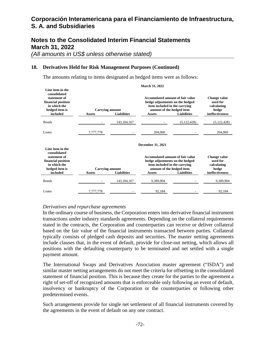### **Notes to the Consolidated Interim Financial Statements March 31, 2022**

*(All amounts in US\$ unless otherwise stated)* 

#### **18. Derivatives Held for Risk Management Purposes (Continued)**

The amounts relating to items designated as hedged items were as follows:

| Line item in the<br>consolidated<br>statement of<br>financial position<br>in which the<br>hedged item is | <b>Carrying amount</b> |                    | Accumulated amount of fair value<br>hedge adjustments on the hedged<br>item included in the carrying<br>amount of the hedged item |                    | <b>Change value</b><br>used for<br>calculating<br>hedge |
|----------------------------------------------------------------------------------------------------------|------------------------|--------------------|-----------------------------------------------------------------------------------------------------------------------------------|--------------------|---------------------------------------------------------|
| included                                                                                                 | <b>Assets</b>          | <b>Liabilities</b> | <b>Assets</b>                                                                                                                     | <b>Liabilities</b> | ineffectiveness                                         |
| <b>Bonds</b>                                                                                             |                        | 143, 184, 167      |                                                                                                                                   | (5, 122, 428)      | (5, 122, 428)                                           |
| Loans                                                                                                    | 7,777,778              |                    | 204,060                                                                                                                           |                    | 204,060                                                 |
| Line item in the<br>consolidated<br>statement of<br>financial position<br>in which the                   |                        |                    | December 31, 2021<br><b>Accumulated amount of fair value</b><br>hedge adjustments on the hedged<br>item included in the carrying  |                    | <b>Change value</b><br>used for<br>calculating          |
| hedged item is                                                                                           | <b>Carrying amount</b> |                    | amount of the hedged item                                                                                                         |                    | hedge                                                   |
| included                                                                                                 | <b>Assets</b>          | <b>Liabilities</b> | Assets                                                                                                                            | <b>Liabilities</b> | ineffectiveness                                         |
| <b>Bonds</b>                                                                                             |                        | 143, 184, 167      | 9,389,904                                                                                                                         |                    | 9,389,904                                               |
| Loans                                                                                                    | 7,777,778              |                    | 92,184                                                                                                                            |                    | 92,184                                                  |

#### **March 31, 2022**

#### *Derivatives and repurchase agreements*

In the ordinary course of business, the Corporation enters into derivative financial instrument transactions under industry standards agreements. Depending on the collateral requirements stated in the contracts, the Corporation and counterparties can receive or deliver collateral based on the fair value of the financial instruments transacted between parties. Collateral typically consists of pledged cash deposits and securities. The master netting agreements include clauses that, in the event of default, provide for close-out netting, which allows all positions with the defaulting counterparty to be terminated and net settled with a single payment amount.

The International Swaps and Derivatives Association master agreement ("ISDA") and similar master netting arrangements do not meet the criteria for offsetting in the consolidated statement of financial position. This is because they create for the parties to the agreement a right of set-off of recognized amounts that is enforceable only following an event of default, insolvency or bankruptcy of the Corporation or the counterparties or following other predetermined events.

Such arrangements provide for single net settlement of all financial instruments covered by the agreements in the event of default on any one contract.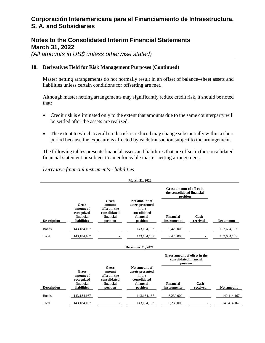### **Notes to the Consolidated Interim Financial Statements March 31, 2022**

*(All amounts in US\$ unless otherwise stated)* 

#### **18. Derivatives Held for Risk Management Purposes (Continued)**

Master netting arrangements do not normally result in an offset of balance–sheet assets and liabilities unless certain conditions for offsetting are met.

Although master netting arrangements may significantly reduce credit risk, it should be noted that:

- Credit risk is eliminated only to the extent that amounts due to the same counterparty will be settled after the assets are realized.
- The extent to which overall credit risk is reduced may change substantially within a short period because the exposure is affected by each transaction subject to the arrangement.

The following tables presents financial assets and liabilities that are offset in the consolidated financial statement or subject to an enforceable master netting arrangement:

*Derivative financial instruments - liabilities* 

|                    |                                                                            |                                                                                  | <b>March 31, 2022</b>                                                                |                                                                     |                  |                   |
|--------------------|----------------------------------------------------------------------------|----------------------------------------------------------------------------------|--------------------------------------------------------------------------------------|---------------------------------------------------------------------|------------------|-------------------|
|                    |                                                                            |                                                                                  |                                                                                      | Gross amount of offset in<br>the consolidated financial<br>position |                  |                   |
| <b>Description</b> | <b>Gross</b><br>amount of<br>recognized<br>financial<br><b>liabilities</b> | <b>Gross</b><br>amount<br>offset in the<br>consolidated<br>financial<br>position | Net amount of<br>assets presented<br>in the<br>consolidated<br>financial<br>position | Financial<br>instruments                                            | Cash<br>received | <b>Net amount</b> |
| <b>Bonds</b>       | 143, 184, 167                                                              |                                                                                  | 143, 184, 167                                                                        | 9,420,000                                                           |                  | 152,604,167       |
| Total              | 143, 184, 167                                                              |                                                                                  | 143, 184, 167                                                                        | 9,420,000                                                           |                  | 152,604,167       |
|                    |                                                                            |                                                                                  | <b>December 31, 2021</b>                                                             |                                                                     |                  |                   |
|                    |                                                                            |                                                                                  |                                                                                      | Gross amount of offset in the<br>consolidated financial<br>position |                  |                   |
| <b>Description</b> | <b>Gross</b><br>amount of<br>recognized<br>financial<br><b>liabilities</b> | <b>Gross</b><br>amount<br>offset in the<br>consolidated<br>financial<br>position | Net amount of<br>assets presented<br>in the<br>consolidated<br>financial<br>position | Financial<br>instruments                                            | Cash<br>received | <b>Net amount</b> |
| <b>Bonds</b>       | 143, 184, 167                                                              |                                                                                  | 143, 184, 167                                                                        | 6,230,000                                                           |                  | 149,414,167       |
| Total              | 143, 184, 167                                                              |                                                                                  | 143, 184, 167                                                                        | 6,230,000                                                           |                  | 149,414,167       |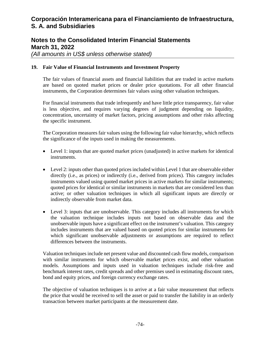## **Notes to the Consolidated Interim Financial Statements March 31, 2022**

*(All amounts in US\$ unless otherwise stated)* 

#### **19. Fair Value of Financial Instruments and Investment Property**

The fair values of financial assets and financial liabilities that are traded in active markets are based on quoted market prices or dealer price quotations. For all other financial instruments, the Corporation determines fair values using other valuation techniques.

For financial instruments that trade infrequently and have little price transparency, fair value is less objective, and requires varying degrees of judgment depending on liquidity, concentration, uncertainty of market factors, pricing assumptions and other risks affecting the specific instrument.

The Corporation measures fair values using the following fair value hierarchy, which reflects the significance of the inputs used in making the measurements.

- Level 1: inputs that are quoted market prices (unadjusted) in active markets for identical instruments.
- Level 2: inputs other than quoted prices included within Level 1 that are observable either directly (i.e., as prices) or indirectly (i.e., derived from prices). This category includes instruments valued using quoted market prices in active markets for similar instruments; quoted prices for identical or similar instruments in markets that are considered less than active; or other valuation techniques in which all significant inputs are directly or indirectly observable from market data.
- Level 3: inputs that are unobservable. This category includes all instruments for which the valuation technique includes inputs not based on observable data and the unobservable inputs have a significant effect on the instrument's valuation. This category includes instruments that are valued based on quoted prices for similar instruments for which significant unobservable adjustments or assumptions are required to reflect differences between the instruments.

Valuation techniques include net present value and discounted cash flow models, comparison with similar instruments for which observable market prices exist, and other valuation models. Assumptions and inputs used in valuation techniques include risk-free and benchmark interest rates, credit spreads and other premises used in estimating discount rates, bond and equity prices, and foreign currency exchange rates.

The objective of valuation techniques is to arrive at a fair value measurement that reflects the price that would be received to sell the asset or paid to transfer the liability in an orderly transaction between market participants at the measurement date.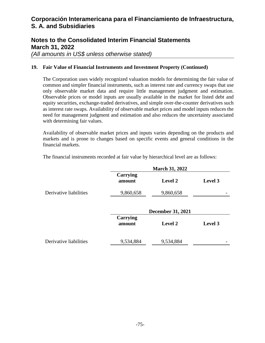### **Notes to the Consolidated Interim Financial Statements March 31, 2022**

*(All amounts in US\$ unless otherwise stated)* 

#### **19. Fair Value of Financial Instruments and Investment Property (Continued)**

The Corporation uses widely recognized valuation models for determining the fair value of common and simpler financial instruments, such as interest rate and currency swaps that use only observable market data and require little management judgment and estimation. Observable prices or model inputs are usually available in the market for listed debt and equity securities, exchange-traded derivatives, and simple over-the-counter derivatives such as interest rate swaps. Availability of observable market prices and model inputs reduces the need for management judgment and estimation and also reduces the uncertainty associated with determining fair values.

Availability of observable market prices and inputs varies depending on the products and markets and is prone to changes based on specific events and general conditions in the financial markets.

|                        | <b>March 31, 2022</b> |                          |         |  |  |  |
|------------------------|-----------------------|--------------------------|---------|--|--|--|
|                        | Carrying<br>amount    | <b>Level 2</b>           | Level 3 |  |  |  |
| Derivative liabilities | 9,860,658             | 9,860,658                |         |  |  |  |
|                        | <b>Carrying</b>       | <b>December 31, 2021</b> |         |  |  |  |
|                        | amount                | Level 2                  | Level 3 |  |  |  |
| Derivative liabilities | 9,534,884             | 9,534,884                |         |  |  |  |

The financial instruments recorded at fair value by hierarchical level are as follows: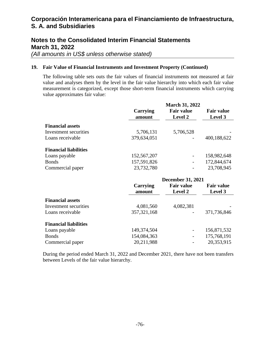# **Notes to the Consolidated Interim Financial Statements March 31, 2022**

*(All amounts in US\$ unless otherwise stated)* 

### **19. Fair Value of Financial Instruments and Investment Property (Continued)**

The following table sets outs the fair values of financial instruments not measured at fair value and analyses them by the level in the fair value hierarchy into which each fair value measurement is categorized, except those short-term financial instruments which carrying value approximates fair value:

|                              | <b>March 31, 2022</b>    |                   |                   |
|------------------------------|--------------------------|-------------------|-------------------|
|                              | <b>Carrying</b>          | <b>Fair value</b> | <b>Fair value</b> |
|                              | amount                   | Level 2           | Level 3           |
| <b>Financial assets</b>      |                          |                   |                   |
| Investment securities        | 5,706,131                | 5,706,528         |                   |
| Loans receivable             | 379,634,051              |                   | 400,188,622       |
| <b>Financial liabilities</b> |                          |                   |                   |
| Loans payable                | 152,567,207              |                   | 158,982,648       |
| <b>Bonds</b>                 | 157,591,826              |                   | 172,844,674       |
| Commercial paper             | 23,732,780               |                   | 23,708,945        |
|                              | <b>December 31, 2021</b> |                   |                   |
|                              | Carrying                 | <b>Fair value</b> | <b>Fair value</b> |
|                              | amount                   | <b>Level 2</b>    | Level 3           |
| <b>Financial assets</b>      |                          |                   |                   |
| Investment securities        | 4,081,560                | 4,082,381         |                   |
| Loans receivable             | 357, 321, 168            |                   | 371,736,846       |
| <b>Financial liabilities</b> |                          |                   |                   |
| Loope povoblo                | 140.274.504              |                   | 156971522         |

| Loans payable    | 149,374,504  |     | 156,871,532 |
|------------------|--------------|-----|-------------|
| <b>Bonds</b>     | 154,084,363  |     | 175,768,191 |
| Commercial paper | 20, 211, 988 | $-$ | 20,353,915  |

During the period ended March 31, 2022 and December 2021, there have not been transfers between Levels of the fair value hierarchy.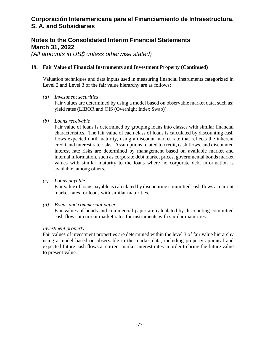### **Notes to the Consolidated Interim Financial Statements March 31, 2022**

*(All amounts in US\$ unless otherwise stated)* 

### **19. Fair Value of Financial Instruments and Investment Property (Continued)**

Valuation techniques and data inputs used in measuring financial instruments categorized in Level 2 and Level 3 of the fair value hierarchy are as follows:

*(a) Investment securities* 

Fair values are determined by using a model based on observable market data, such as: yield rates (LIBOR and OIS (Overnight Index Swap)).

*(b) Loans receivable* 

Fair value of loans is determined by grouping loans into classes with similar financial characteristics. The fair value of each class of loans is calculated by discounting cash flows expected until maturity, using a discount market rate that reflects the inherent credit and interest rate risks. Assumptions related to credit, cash flows, and discounted interest rate risks are determined by management based on available market and internal information, such as corporate debt market prices, governmental bonds market values with similar maturity to the loans where no corporate debt information is available, among others.

*(c) Loans payable* 

Fair value of loans payable is calculated by discounting committed cash flows at current market rates for loans with similar maturities.

*(d) Bonds and commercial paper* 

Fair values of bonds and commercial paper are calculated by discounting committed cash flows at current market rates for instruments with similar maturities.

### *Investment property*

Fair values of investment properties are determined within the level 3 of fair value hierarchy using a model based on observable in the market data, including property appraisal and expected future cash flows at current market interest rates in order to bring the future value to present value.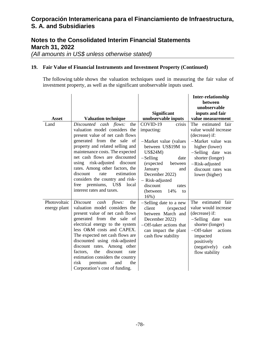## **Notes to the Consolidated Interim Financial Statements March 31, 2022**

*(All amounts in US\$ unless otherwise stated)* 

### **19. Fair Value of Financial Instruments and Investment Property (Continued)**

The following table shows the valuation techniques used in measuring the fair value of investment property, as well as the significant unobservable inputs used.

|                              |                                                                                                                                                                                                                                                                                                                                                                                                                                                       |                                                                                                                                                                                                                                                                | <b>Inter-relationship</b><br>between<br>unobservable                                                                                                                                                     |
|------------------------------|-------------------------------------------------------------------------------------------------------------------------------------------------------------------------------------------------------------------------------------------------------------------------------------------------------------------------------------------------------------------------------------------------------------------------------------------------------|----------------------------------------------------------------------------------------------------------------------------------------------------------------------------------------------------------------------------------------------------------------|----------------------------------------------------------------------------------------------------------------------------------------------------------------------------------------------------------|
| <b>Asset</b>                 | <b>Valuation technique</b>                                                                                                                                                                                                                                                                                                                                                                                                                            | <b>Significant</b><br>unobservable inputs                                                                                                                                                                                                                      | inputs and fair<br>value measurement                                                                                                                                                                     |
| Land                         | Discounted cash flows:<br>the<br>valuation model considers the<br>present value of net cash flows<br>generated from the sale of<br>property and related selling and<br>maintenance costs. The expected<br>net cash flows are discounted<br>risk-adjusted<br>discount<br>using<br>rates. Among other factors, the<br>discount<br>estimation<br>rate<br>considers the country and risk-<br>premiums, US\$<br>free<br>local<br>interest rates and taxes. | COVID-19<br>crisis<br>impacting:<br>-Market value (values<br>between US\$19M to<br><b>US\$24M)</b><br>$-Selling$<br>date<br>(expected<br>between<br>January<br>and<br>December 2022)<br>- Risk-adjusted<br>discount<br>rates<br>14%<br>(between)<br>to<br>16%) | The estimated fair<br>value would increase<br>(decrease) if:<br>-Market value was<br>higher (lower)<br>-Selling date was<br>shorter (longer)<br>-Risk-adjusted<br>discount rates was<br>lower (higher)   |
| Photovoltaic<br>energy plant | Discount<br>cash<br>flows:<br>the<br>valuation model considers the<br>present value of net cash flows<br>generated from the sale of<br>electrical energy to the system<br>less O&M costs and CAPEX.<br>The expected net cash flows are<br>discounted using risk-adjusted<br>discount rates. Among other<br>discount<br>the<br>factors,<br>rate<br>estimation considers the country<br>risk<br>premium<br>the<br>and<br>Corporation's cost of funding. | -Selling date to a new<br>client<br>(expected<br>between March and<br>December 2022)<br>-Off-taker actions that<br>can impact the plant<br>cash flow stability                                                                                                 | estimated fair<br>The<br>value would increase<br>(decrease) if:<br>-Selling date was<br>shorter (longer)<br>$-$ Off-taker<br>actions<br>impacted<br>positively<br>(negatively)<br>cash<br>flow stability |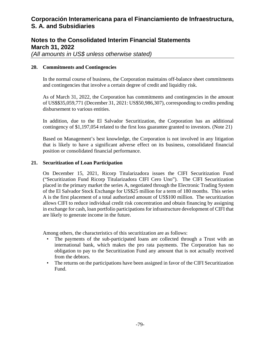# **Notes to the Consolidated Interim Financial Statements March 31, 2022**

*(All amounts in US\$ unless otherwise stated)* 

### **20. Commitments and Contingencies**

In the normal course of business, the Corporation maintains off-balance sheet commitments and contingencies that involve a certain degree of credit and liquidity risk.

As of March 31, 2022, the Corporation has commitments and contingencies in the amount of US\$\$35,059,771 (December 31, 2021: US\$50,986,307), corresponding to credits pending disbursement to various entities.

In addition, due to the El Salvador Securitization, the Corporation has an additional contingency of \$1,197,054 related to the first loss guarantee granted to investors. (Note 21)

Based on Management's best knowledge, the Corporation is not involved in any litigation that is likely to have a significant adverse effect on its business, consolidated financial position or consolidated financial performance.

#### **21. Securitization of Loan Participation**

On December 15, 2021, Ricorp Titularizadora issues the CIFI Securitization Fund ("Securitization Fund Ricorp Titularizadora CIFI Cero Uno"). The CIFI Securitization placed in the primary market the series A, negotiated through the Electronic Trading System of the El Salvador Stock Exchange for US\$25 million for a term of 180 months. This series A is the first placement of a total authorized amount of US\$100 million. The securitization allows CIFI to reduce individual credit risk concentration and obtain financing by assigning in exchange for cash, loan portfolio participations for infrastructure development of CIFI that are likely to generate income in the future.

Among others, the characteristics of this securitization are as follows:

- The payments of the sub-participated loans are collected through a Trust with an international bank, which makes the pro rata payments. The Corporation has no obligation to pay to the Securitization Fund any amount that is not actually received from the debtors.
- The returns on the participations have been assigned in favor of the CIFI Securitization Fund.